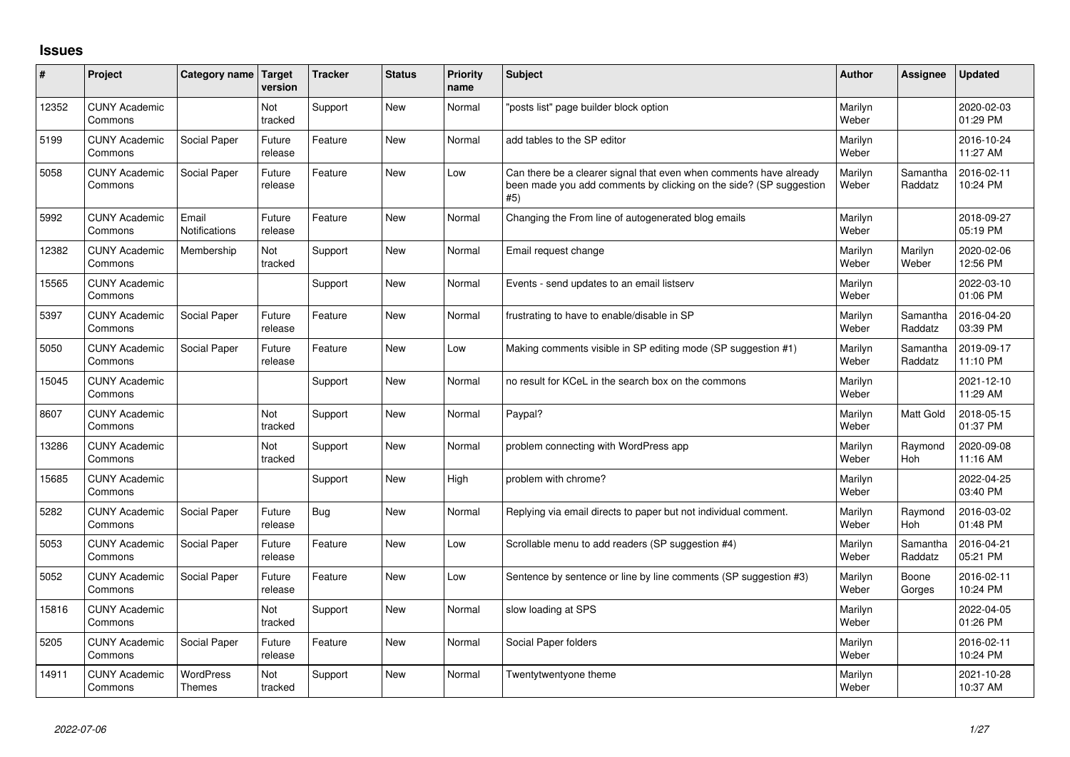## **Issues**

| #     | Project                         | Category name                     | <b>Target</b><br>version | <b>Tracker</b> | <b>Status</b> | <b>Priority</b><br>name | <b>Subject</b>                                                                                                                                  | <b>Author</b>    | Assignee              | <b>Updated</b>         |
|-------|---------------------------------|-----------------------------------|--------------------------|----------------|---------------|-------------------------|-------------------------------------------------------------------------------------------------------------------------------------------------|------------------|-----------------------|------------------------|
| 12352 | <b>CUNY Academic</b><br>Commons |                                   | Not<br>tracked           | Support        | <b>New</b>    | Normal                  | 'posts list" page builder block option                                                                                                          | Marilyn<br>Weber |                       | 2020-02-03<br>01:29 PM |
| 5199  | <b>CUNY Academic</b><br>Commons | Social Paper                      | Future<br>release        | Feature        | <b>New</b>    | Normal                  | add tables to the SP editor                                                                                                                     | Marilyn<br>Weber |                       | 2016-10-24<br>11:27 AM |
| 5058  | <b>CUNY Academic</b><br>Commons | Social Paper                      | Future<br>release        | Feature        | <b>New</b>    | Low                     | Can there be a clearer signal that even when comments have already<br>been made you add comments by clicking on the side? (SP suggestion<br>#5) | Marilyn<br>Weber | Samantha<br>Raddatz   | 2016-02-11<br>10:24 PM |
| 5992  | <b>CUNY Academic</b><br>Commons | Email<br><b>Notifications</b>     | Future<br>release        | Feature        | <b>New</b>    | Normal                  | Changing the From line of autogenerated blog emails                                                                                             | Marilyn<br>Weber |                       | 2018-09-27<br>05:19 PM |
| 12382 | <b>CUNY Academic</b><br>Commons | Membership                        | Not<br>tracked           | Support        | <b>New</b>    | Normal                  | Email request change                                                                                                                            | Marilyn<br>Weber | Marilyn<br>Weber      | 2020-02-06<br>12:56 PM |
| 15565 | <b>CUNY Academic</b><br>Commons |                                   |                          | Support        | <b>New</b>    | Normal                  | Events - send updates to an email listserv                                                                                                      | Marilyn<br>Weber |                       | 2022-03-10<br>01:06 PM |
| 5397  | <b>CUNY Academic</b><br>Commons | Social Paper                      | Future<br>release        | Feature        | <b>New</b>    | Normal                  | frustrating to have to enable/disable in SP                                                                                                     | Marilyn<br>Weber | Samantha<br>Raddatz   | 2016-04-20<br>03:39 PM |
| 5050  | <b>CUNY Academic</b><br>Commons | Social Paper                      | Future<br>release        | Feature        | <b>New</b>    | Low                     | Making comments visible in SP editing mode (SP suggestion #1)                                                                                   | Marilyn<br>Weber | Samantha<br>Raddatz   | 2019-09-17<br>11:10 PM |
| 15045 | <b>CUNY Academic</b><br>Commons |                                   |                          | Support        | <b>New</b>    | Normal                  | no result for KCeL in the search box on the commons                                                                                             | Marilyn<br>Weber |                       | 2021-12-10<br>11:29 AM |
| 8607  | <b>CUNY Academic</b><br>Commons |                                   | Not<br>tracked           | Support        | <b>New</b>    | Normal                  | Paypal?                                                                                                                                         | Marilyn<br>Weber | <b>Matt Gold</b>      | 2018-05-15<br>01:37 PM |
| 13286 | <b>CUNY Academic</b><br>Commons |                                   | Not<br>tracked           | Support        | <b>New</b>    | Normal                  | problem connecting with WordPress app                                                                                                           | Marilyn<br>Weber | Raymond<br>Hoh        | 2020-09-08<br>11:16 AM |
| 15685 | <b>CUNY Academic</b><br>Commons |                                   |                          | Support        | <b>New</b>    | High                    | problem with chrome?                                                                                                                            | Marilyn<br>Weber |                       | 2022-04-25<br>03:40 PM |
| 5282  | <b>CUNY Academic</b><br>Commons | Social Paper                      | Future<br>release        | <b>Bug</b>     | <b>New</b>    | Normal                  | Replying via email directs to paper but not individual comment.                                                                                 | Marilyn<br>Weber | Raymond<br><b>Hoh</b> | 2016-03-02<br>01:48 PM |
| 5053  | <b>CUNY Academic</b><br>Commons | Social Paper                      | Future<br>release        | Feature        | <b>New</b>    | Low                     | Scrollable menu to add readers (SP suggestion #4)                                                                                               | Marilyn<br>Weber | Samantha<br>Raddatz   | 2016-04-21<br>05:21 PM |
| 5052  | <b>CUNY Academic</b><br>Commons | Social Paper                      | Future<br>release        | Feature        | <b>New</b>    | Low                     | Sentence by sentence or line by line comments (SP suggestion #3)                                                                                | Marilyn<br>Weber | Boone<br>Gorges       | 2016-02-11<br>10:24 PM |
| 15816 | <b>CUNY Academic</b><br>Commons |                                   | Not<br>tracked           | Support        | <b>New</b>    | Normal                  | slow loading at SPS                                                                                                                             | Marilyn<br>Weber |                       | 2022-04-05<br>01:26 PM |
| 5205  | <b>CUNY Academic</b><br>Commons | Social Paper                      | Future<br>release        | Feature        | <b>New</b>    | Normal                  | Social Paper folders                                                                                                                            | Marilyn<br>Weber |                       | 2016-02-11<br>10:24 PM |
| 14911 | <b>CUNY Academic</b><br>Commons | <b>WordPress</b><br><b>Themes</b> | Not<br>tracked           | Support        | <b>New</b>    | Normal                  | Twentytwentyone theme                                                                                                                           | Marilyn<br>Weber |                       | 2021-10-28<br>10:37 AM |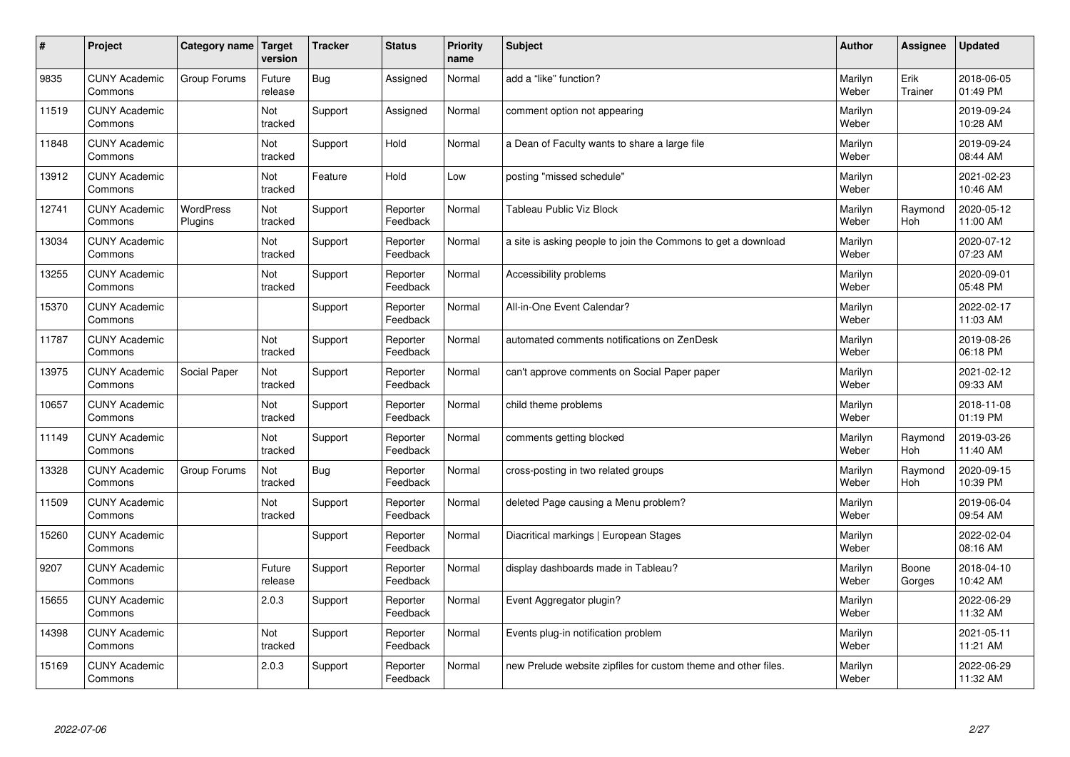| #     | Project                         | Category name               | Target<br>version | <b>Tracker</b> | <b>Status</b>        | <b>Priority</b><br>name | <b>Subject</b>                                                 | <b>Author</b>    | Assignee        | <b>Updated</b>         |
|-------|---------------------------------|-----------------------------|-------------------|----------------|----------------------|-------------------------|----------------------------------------------------------------|------------------|-----------------|------------------------|
| 9835  | <b>CUNY Academic</b><br>Commons | Group Forums                | Future<br>release | Bug            | Assigned             | Normal                  | add a "like" function?                                         | Marilyn<br>Weber | Erik<br>Trainer | 2018-06-05<br>01:49 PM |
| 11519 | <b>CUNY Academic</b><br>Commons |                             | Not<br>tracked    | Support        | Assigned             | Normal                  | comment option not appearing                                   | Marilyn<br>Weber |                 | 2019-09-24<br>10:28 AM |
| 11848 | <b>CUNY Academic</b><br>Commons |                             | Not<br>tracked    | Support        | Hold                 | Normal                  | a Dean of Faculty wants to share a large file                  | Marilyn<br>Weber |                 | 2019-09-24<br>08:44 AM |
| 13912 | <b>CUNY Academic</b><br>Commons |                             | Not<br>tracked    | Feature        | Hold                 | Low                     | posting "missed schedule"                                      | Marilyn<br>Weber |                 | 2021-02-23<br>10:46 AM |
| 12741 | <b>CUNY Academic</b><br>Commons | <b>WordPress</b><br>Plugins | Not<br>tracked    | Support        | Reporter<br>Feedback | Normal                  | <b>Tableau Public Viz Block</b>                                | Marilyn<br>Weber | Raymond<br>Hoh  | 2020-05-12<br>11:00 AM |
| 13034 | <b>CUNY Academic</b><br>Commons |                             | Not<br>tracked    | Support        | Reporter<br>Feedback | Normal                  | a site is asking people to join the Commons to get a download  | Marilyn<br>Weber |                 | 2020-07-12<br>07:23 AM |
| 13255 | <b>CUNY Academic</b><br>Commons |                             | Not<br>tracked    | Support        | Reporter<br>Feedback | Normal                  | Accessibility problems                                         | Marilyn<br>Weber |                 | 2020-09-01<br>05:48 PM |
| 15370 | <b>CUNY Academic</b><br>Commons |                             |                   | Support        | Reporter<br>Feedback | Normal                  | All-in-One Event Calendar?                                     | Marilyn<br>Weber |                 | 2022-02-17<br>11:03 AM |
| 11787 | <b>CUNY Academic</b><br>Commons |                             | Not<br>tracked    | Support        | Reporter<br>Feedback | Normal                  | automated comments notifications on ZenDesk                    | Marilyn<br>Weber |                 | 2019-08-26<br>06:18 PM |
| 13975 | <b>CUNY Academic</b><br>Commons | Social Paper                | Not<br>tracked    | Support        | Reporter<br>Feedback | Normal                  | can't approve comments on Social Paper paper                   | Marilyn<br>Weber |                 | 2021-02-12<br>09:33 AM |
| 10657 | <b>CUNY Academic</b><br>Commons |                             | Not<br>tracked    | Support        | Reporter<br>Feedback | Normal                  | child theme problems                                           | Marilyn<br>Weber |                 | 2018-11-08<br>01:19 PM |
| 11149 | <b>CUNY Academic</b><br>Commons |                             | Not<br>tracked    | Support        | Reporter<br>Feedback | Normal                  | comments getting blocked                                       | Marilyn<br>Weber | Raymond<br>Hoh  | 2019-03-26<br>11:40 AM |
| 13328 | <b>CUNY Academic</b><br>Commons | Group Forums                | Not<br>tracked    | Bug            | Reporter<br>Feedback | Normal                  | cross-posting in two related groups                            | Marilyn<br>Weber | Raymond<br>Hoh  | 2020-09-15<br>10:39 PM |
| 11509 | <b>CUNY Academic</b><br>Commons |                             | Not<br>tracked    | Support        | Reporter<br>Feedback | Normal                  | deleted Page causing a Menu problem?                           | Marilyn<br>Weber |                 | 2019-06-04<br>09:54 AM |
| 15260 | <b>CUNY Academic</b><br>Commons |                             |                   | Support        | Reporter<br>Feedback | Normal                  | Diacritical markings   European Stages                         | Marilyn<br>Weber |                 | 2022-02-04<br>08:16 AM |
| 9207  | <b>CUNY Academic</b><br>Commons |                             | Future<br>release | Support        | Reporter<br>Feedback | Normal                  | display dashboards made in Tableau?                            | Marilyn<br>Weber | Boone<br>Gorges | 2018-04-10<br>10:42 AM |
| 15655 | <b>CUNY Academic</b><br>Commons |                             | 2.0.3             | Support        | Reporter<br>Feedback | Normal                  | Event Aggregator plugin?                                       | Marilyn<br>Weber |                 | 2022-06-29<br>11:32 AM |
| 14398 | <b>CUNY Academic</b><br>Commons |                             | Not<br>tracked    | Support        | Reporter<br>Feedback | Normal                  | Events plug-in notification problem                            | Marilyn<br>Weber |                 | 2021-05-11<br>11:21 AM |
| 15169 | <b>CUNY Academic</b><br>Commons |                             | 2.0.3             | Support        | Reporter<br>Feedback | Normal                  | new Prelude website zipfiles for custom theme and other files. | Marilyn<br>Weber |                 | 2022-06-29<br>11:32 AM |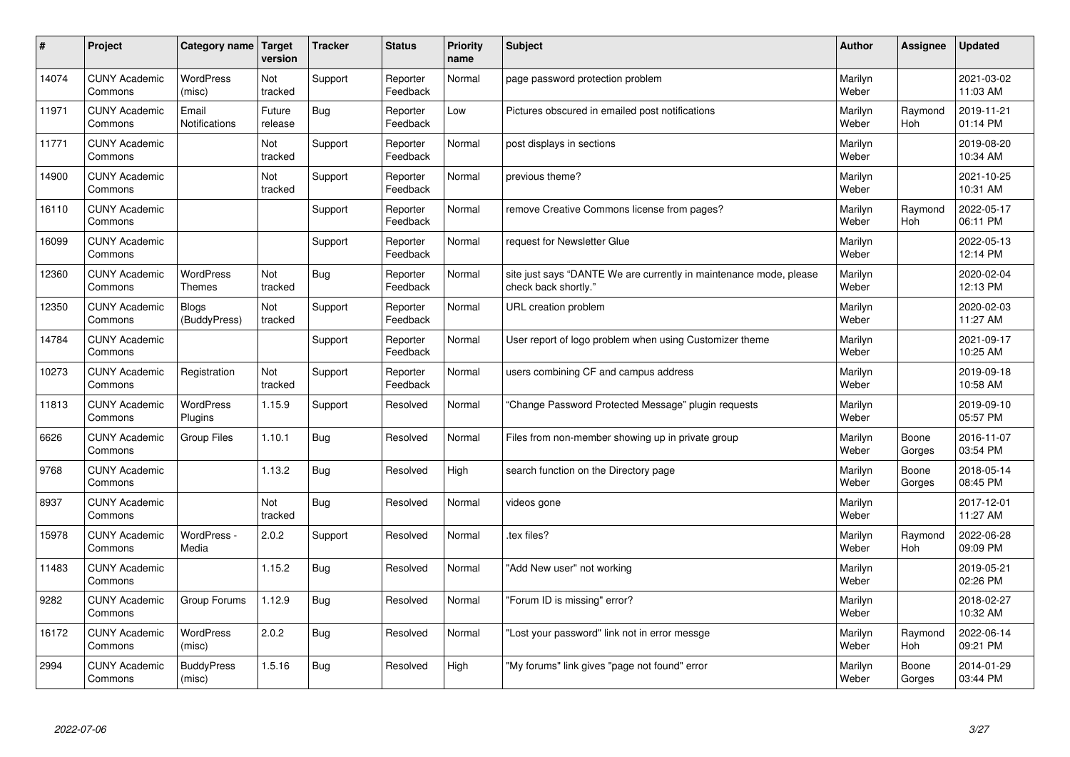| #     | Project                         | Category name   Target            | version           | <b>Tracker</b> | <b>Status</b>        | Priority<br>name | <b>Subject</b>                                                                             | <b>Author</b>    | <b>Assignee</b>       | <b>Updated</b>         |
|-------|---------------------------------|-----------------------------------|-------------------|----------------|----------------------|------------------|--------------------------------------------------------------------------------------------|------------------|-----------------------|------------------------|
| 14074 | <b>CUNY Academic</b><br>Commons | WordPress<br>(misc)               | Not<br>tracked    | Support        | Reporter<br>Feedback | Normal           | page password protection problem                                                           | Marilyn<br>Weber |                       | 2021-03-02<br>11:03 AM |
| 11971 | <b>CUNY Academic</b><br>Commons | Email<br>Notifications            | Future<br>release | Bug            | Reporter<br>Feedback | Low              | Pictures obscured in emailed post notifications                                            | Marilyn<br>Weber | Raymond<br>Hoh        | 2019-11-21<br>01:14 PM |
| 11771 | <b>CUNY Academic</b><br>Commons |                                   | Not<br>tracked    | Support        | Reporter<br>Feedback | Normal           | post displays in sections                                                                  | Marilyn<br>Weber |                       | 2019-08-20<br>10:34 AM |
| 14900 | <b>CUNY Academic</b><br>Commons |                                   | Not<br>tracked    | Support        | Reporter<br>Feedback | Normal           | previous theme?                                                                            | Marilyn<br>Weber |                       | 2021-10-25<br>10:31 AM |
| 16110 | <b>CUNY Academic</b><br>Commons |                                   |                   | Support        | Reporter<br>Feedback | Normal           | remove Creative Commons license from pages?                                                | Marilyn<br>Weber | Raymond<br><b>Hoh</b> | 2022-05-17<br>06:11 PM |
| 16099 | <b>CUNY Academic</b><br>Commons |                                   |                   | Support        | Reporter<br>Feedback | Normal           | request for Newsletter Glue                                                                | Marilyn<br>Weber |                       | 2022-05-13<br>12:14 PM |
| 12360 | <b>CUNY Academic</b><br>Commons | <b>WordPress</b><br><b>Themes</b> | Not<br>tracked    | Bug            | Reporter<br>Feedback | Normal           | site just says "DANTE We are currently in maintenance mode, please<br>check back shortly." | Marilyn<br>Weber |                       | 2020-02-04<br>12:13 PM |
| 12350 | <b>CUNY Academic</b><br>Commons | Blogs<br>(BuddyPress)             | Not<br>tracked    | Support        | Reporter<br>Feedback | Normal           | URL creation problem                                                                       | Marilyn<br>Weber |                       | 2020-02-03<br>11:27 AM |
| 14784 | <b>CUNY Academic</b><br>Commons |                                   |                   | Support        | Reporter<br>Feedback | Normal           | User report of logo problem when using Customizer theme                                    | Marilyn<br>Weber |                       | 2021-09-17<br>10:25 AM |
| 10273 | <b>CUNY Academic</b><br>Commons | Registration                      | Not<br>tracked    | Support        | Reporter<br>Feedback | Normal           | users combining CF and campus address                                                      | Marilyn<br>Weber |                       | 2019-09-18<br>10:58 AM |
| 11813 | <b>CUNY Academic</b><br>Commons | <b>WordPress</b><br>Plugins       | 1.15.9            | Support        | Resolved             | Normal           | Change Password Protected Message" plugin requests                                         | Marilyn<br>Weber |                       | 2019-09-10<br>05:57 PM |
| 6626  | <b>CUNY Academic</b><br>Commons | Group Files                       | 1.10.1            | Bug            | Resolved             | Normal           | Files from non-member showing up in private group                                          | Marilyn<br>Weber | Boone<br>Gorges       | 2016-11-07<br>03:54 PM |
| 9768  | <b>CUNY Academic</b><br>Commons |                                   | 1.13.2            | Bug            | Resolved             | High             | search function on the Directory page                                                      | Marilyn<br>Weber | Boone<br>Gorges       | 2018-05-14<br>08:45 PM |
| 8937  | <b>CUNY Academic</b><br>Commons |                                   | Not<br>tracked    | Bug            | Resolved             | Normal           | videos gone                                                                                | Marilyn<br>Weber |                       | 2017-12-01<br>11:27 AM |
| 15978 | <b>CUNY Academic</b><br>Commons | WordPress -<br>Media              | 2.0.2             | Support        | Resolved             | Normal           | tex files?                                                                                 | Marilyn<br>Weber | Raymond<br>Hoh        | 2022-06-28<br>09:09 PM |
| 11483 | <b>CUNY Academic</b><br>Commons |                                   | 1.15.2            | Bug            | Resolved             | Normal           | 'Add New user" not working                                                                 | Marilyn<br>Weber |                       | 2019-05-21<br>02:26 PM |
| 9282  | <b>CUNY Academic</b><br>Commons | Group Forums                      | 1.12.9            | Bug            | Resolved             | Normal           | 'Forum ID is missing" error?                                                               | Marilyn<br>Weber |                       | 2018-02-27<br>10:32 AM |
| 16172 | <b>CUNY Academic</b><br>Commons | <b>WordPress</b><br>(misc)        | 2.0.2             | Bug            | Resolved             | Normal           | 'Lost your password" link not in error messge                                              | Marilyn<br>Weber | Raymond<br>Hoh        | 2022-06-14<br>09:21 PM |
| 2994  | <b>CUNY Academic</b><br>Commons | <b>BuddyPress</b><br>(misc)       | 1.5.16            | Bug            | Resolved             | High             | "My forums" link gives "page not found" error                                              | Marilyn<br>Weber | Boone<br>Gorges       | 2014-01-29<br>03:44 PM |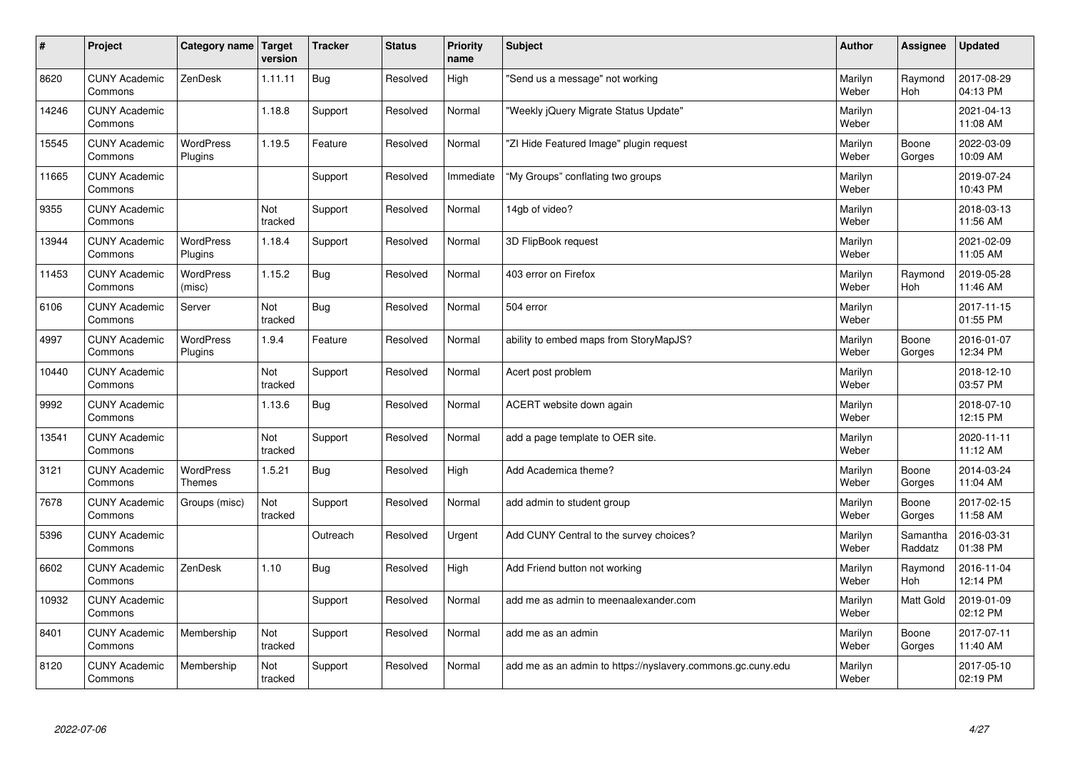| #     | Project                         | Category name   Target             | version        | <b>Tracker</b> | <b>Status</b> | <b>Priority</b><br>name | <b>Subject</b>                                              | <b>Author</b>    | Assignee              | <b>Updated</b>         |
|-------|---------------------------------|------------------------------------|----------------|----------------|---------------|-------------------------|-------------------------------------------------------------|------------------|-----------------------|------------------------|
| 8620  | <b>CUNY Academic</b><br>Commons | ZenDesk                            | 1.11.11        | Bug            | Resolved      | High                    | 'Send us a message" not working                             | Marilyn<br>Weber | Raymond<br><b>Hoh</b> | 2017-08-29<br>04:13 PM |
| 14246 | <b>CUNY Academic</b><br>Commons |                                    | 1.18.8         | Support        | Resolved      | Normal                  | 'Weekly jQuery Migrate Status Update"                       | Marilyn<br>Weber |                       | 2021-04-13<br>11:08 AM |
| 15545 | <b>CUNY Academic</b><br>Commons | <b>WordPress</b><br>Plugins        | 1.19.5         | Feature        | Resolved      | Normal                  | 'ZI Hide Featured Image" plugin request                     | Marilyn<br>Weber | Boone<br>Gorges       | 2022-03-09<br>10:09 AM |
| 11665 | <b>CUNY Academic</b><br>Commons |                                    |                | Support        | Resolved      | Immediate               | "My Groups" conflating two groups                           | Marilyn<br>Weber |                       | 2019-07-24<br>10:43 PM |
| 9355  | <b>CUNY Academic</b><br>Commons |                                    | Not<br>tracked | Support        | Resolved      | Normal                  | 14gb of video?                                              | Marilyn<br>Weber |                       | 2018-03-13<br>11:56 AM |
| 13944 | <b>CUNY Academic</b><br>Commons | <b>WordPress</b><br><b>Plugins</b> | 1.18.4         | Support        | Resolved      | Normal                  | 3D FlipBook request                                         | Marilyn<br>Weber |                       | 2021-02-09<br>11:05 AM |
| 11453 | <b>CUNY Academic</b><br>Commons | <b>WordPress</b><br>(misc)         | 1.15.2         | Bug            | Resolved      | Normal                  | 403 error on Firefox                                        | Marilyn<br>Weber | Raymond<br>Hoh        | 2019-05-28<br>11:46 AM |
| 6106  | <b>CUNY Academic</b><br>Commons | Server                             | Not<br>tracked | Bug            | Resolved      | Normal                  | 504 error                                                   | Marilyn<br>Weber |                       | 2017-11-15<br>01:55 PM |
| 4997  | <b>CUNY Academic</b><br>Commons | <b>WordPress</b><br>Plugins        | 1.9.4          | Feature        | Resolved      | Normal                  | ability to embed maps from StoryMapJS?                      | Marilyn<br>Weber | Boone<br>Gorges       | 2016-01-07<br>12:34 PM |
| 10440 | <b>CUNY Academic</b><br>Commons |                                    | Not<br>tracked | Support        | Resolved      | Normal                  | Acert post problem                                          | Marilyn<br>Weber |                       | 2018-12-10<br>03:57 PM |
| 9992  | <b>CUNY Academic</b><br>Commons |                                    | 1.13.6         | Bug            | Resolved      | Normal                  | ACERT website down again                                    | Marilyn<br>Weber |                       | 2018-07-10<br>12:15 PM |
| 13541 | <b>CUNY Academic</b><br>Commons |                                    | Not<br>tracked | Support        | Resolved      | Normal                  | add a page template to OER site.                            | Marilyn<br>Weber |                       | 2020-11-11<br>11:12 AM |
| 3121  | <b>CUNY Academic</b><br>Commons | <b>WordPress</b><br><b>Themes</b>  | 1.5.21         | Bug            | Resolved      | High                    | Add Academica theme?                                        | Marilyn<br>Weber | Boone<br>Gorges       | 2014-03-24<br>11:04 AM |
| 7678  | <b>CUNY Academic</b><br>Commons | Groups (misc)                      | Not<br>tracked | Support        | Resolved      | Normal                  | add admin to student group                                  | Marilyn<br>Weber | Boone<br>Gorges       | 2017-02-15<br>11:58 AM |
| 5396  | <b>CUNY Academic</b><br>Commons |                                    |                | Outreach       | Resolved      | Urgent                  | Add CUNY Central to the survey choices?                     | Marilyn<br>Weber | Samantha<br>Raddatz   | 2016-03-31<br>01:38 PM |
| 6602  | <b>CUNY Academic</b><br>Commons | ZenDesk                            | 1.10           | Bug            | Resolved      | High                    | Add Friend button not working                               | Marilyn<br>Weber | Raymond<br><b>Hoh</b> | 2016-11-04<br>12:14 PM |
| 10932 | <b>CUNY Academic</b><br>Commons |                                    |                | Support        | Resolved      | Normal                  | add me as admin to meenaalexander.com                       | Marilyn<br>Weber | <b>Matt Gold</b>      | 2019-01-09<br>02:12 PM |
| 8401  | <b>CUNY Academic</b><br>Commons | Membership                         | Not<br>tracked | Support        | Resolved      | Normal                  | add me as an admin                                          | Marilyn<br>Weber | Boone<br>Gorges       | 2017-07-11<br>11:40 AM |
| 8120  | <b>CUNY Academic</b><br>Commons | Membership                         | Not<br>tracked | Support        | Resolved      | Normal                  | add me as an admin to https://nyslavery.commons.gc.cuny.edu | Marilyn<br>Weber |                       | 2017-05-10<br>02:19 PM |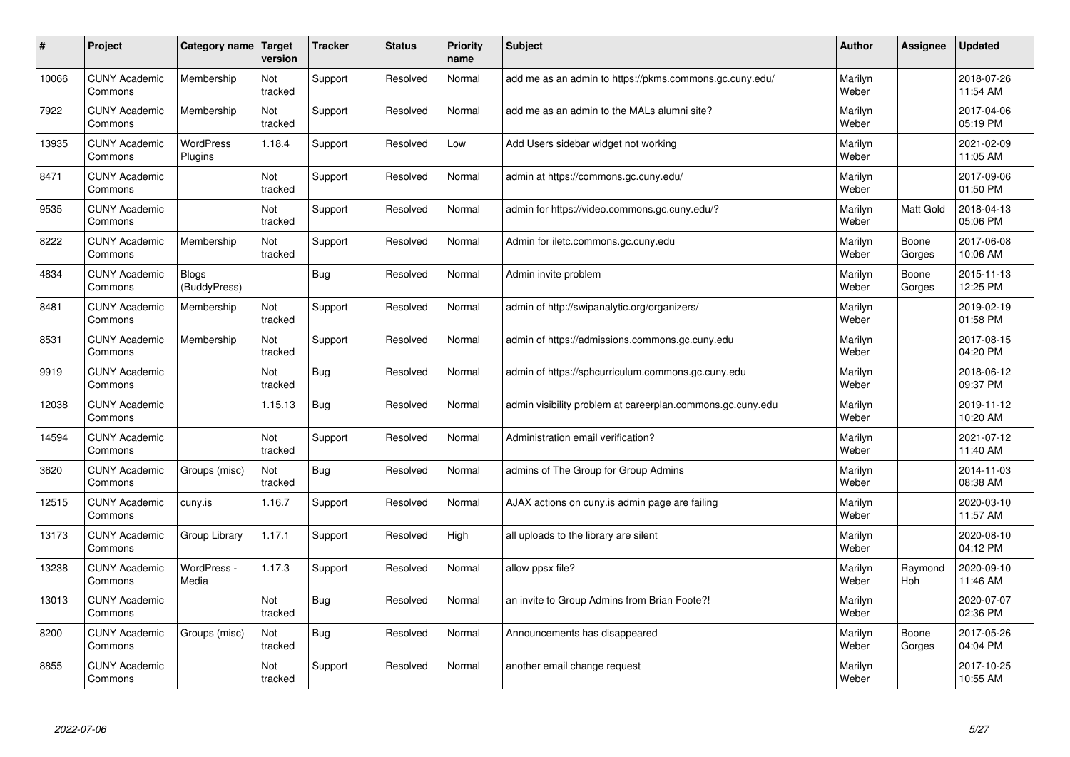| #     | Project                         | Category name                | Target<br>version | <b>Tracker</b> | <b>Status</b> | <b>Priority</b><br>name | <b>Subject</b>                                             | <b>Author</b>    | Assignee         | <b>Updated</b>         |
|-------|---------------------------------|------------------------------|-------------------|----------------|---------------|-------------------------|------------------------------------------------------------|------------------|------------------|------------------------|
| 10066 | <b>CUNY Academic</b><br>Commons | Membership                   | Not<br>tracked    | Support        | Resolved      | Normal                  | add me as an admin to https://pkms.commons.gc.cuny.edu/    | Marilyn<br>Weber |                  | 2018-07-26<br>11:54 AM |
| 7922  | <b>CUNY Academic</b><br>Commons | Membership                   | Not<br>tracked    | Support        | Resolved      | Normal                  | add me as an admin to the MALs alumni site?                | Marilyn<br>Weber |                  | 2017-04-06<br>05:19 PM |
| 13935 | <b>CUNY Academic</b><br>Commons | <b>WordPress</b><br>Plugins  | 1.18.4            | Support        | Resolved      | Low                     | Add Users sidebar widget not working                       | Marilyn<br>Weber |                  | 2021-02-09<br>11:05 AM |
| 8471  | <b>CUNY Academic</b><br>Commons |                              | Not<br>tracked    | Support        | Resolved      | Normal                  | admin at https://commons.gc.cuny.edu/                      | Marilyn<br>Weber |                  | 2017-09-06<br>01:50 PM |
| 9535  | <b>CUNY Academic</b><br>Commons |                              | Not<br>tracked    | Support        | Resolved      | Normal                  | admin for https://video.commons.gc.cuny.edu/?              | Marilyn<br>Weber | <b>Matt Gold</b> | 2018-04-13<br>05:06 PM |
| 8222  | <b>CUNY Academic</b><br>Commons | Membership                   | Not<br>tracked    | Support        | Resolved      | Normal                  | Admin for iletc.commons.gc.cuny.edu                        | Marilyn<br>Weber | Boone<br>Gorges  | 2017-06-08<br>10:06 AM |
| 4834  | <b>CUNY Academic</b><br>Commons | <b>Blogs</b><br>(BuddyPress) |                   | Bug            | Resolved      | Normal                  | Admin invite problem                                       | Marilyn<br>Weber | Boone<br>Gorges  | 2015-11-13<br>12:25 PM |
| 8481  | <b>CUNY Academic</b><br>Commons | Membership                   | Not<br>tracked    | Support        | Resolved      | Normal                  | admin of http://swipanalytic.org/organizers/               | Marilyn<br>Weber |                  | 2019-02-19<br>01:58 PM |
| 8531  | <b>CUNY Academic</b><br>Commons | Membership                   | Not<br>tracked    | Support        | Resolved      | Normal                  | admin of https://admissions.commons.gc.cuny.edu            | Marilyn<br>Weber |                  | 2017-08-15<br>04:20 PM |
| 9919  | <b>CUNY Academic</b><br>Commons |                              | Not<br>tracked    | Bug            | Resolved      | Normal                  | admin of https://sphcurriculum.commons.gc.cuny.edu         | Marilyn<br>Weber |                  | 2018-06-12<br>09:37 PM |
| 12038 | <b>CUNY Academic</b><br>Commons |                              | 1.15.13           | Bug            | Resolved      | Normal                  | admin visibility problem at careerplan.commons.gc.cuny.edu | Marilyn<br>Weber |                  | 2019-11-12<br>10:20 AM |
| 14594 | <b>CUNY Academic</b><br>Commons |                              | Not<br>tracked    | Support        | Resolved      | Normal                  | Administration email verification?                         | Marilyn<br>Weber |                  | 2021-07-12<br>11:40 AM |
| 3620  | <b>CUNY Academic</b><br>Commons | Groups (misc)                | Not<br>tracked    | <b>Bug</b>     | Resolved      | Normal                  | admins of The Group for Group Admins                       | Marilyn<br>Weber |                  | 2014-11-03<br>08:38 AM |
| 12515 | <b>CUNY Academic</b><br>Commons | cuny.is                      | 1.16.7            | Support        | Resolved      | Normal                  | AJAX actions on cuny.is admin page are failing             | Marilyn<br>Weber |                  | 2020-03-10<br>11:57 AM |
| 13173 | <b>CUNY Academic</b><br>Commons | Group Library                | 1.17.1            | Support        | Resolved      | High                    | all uploads to the library are silent                      | Marilyn<br>Weber |                  | 2020-08-10<br>04:12 PM |
| 13238 | <b>CUNY Academic</b><br>Commons | WordPress -<br>Media         | 1.17.3            | Support        | Resolved      | Normal                  | allow ppsx file?                                           | Marilyn<br>Weber | Raymond<br>Hoh   | 2020-09-10<br>11:46 AM |
| 13013 | <b>CUNY Academic</b><br>Commons |                              | Not<br>tracked    | <b>Bug</b>     | Resolved      | Normal                  | an invite to Group Admins from Brian Foote?!               | Marilyn<br>Weber |                  | 2020-07-07<br>02:36 PM |
| 8200  | <b>CUNY Academic</b><br>Commons | Groups (misc)                | Not<br>tracked    | <b>Bug</b>     | Resolved      | Normal                  | Announcements has disappeared                              | Marilyn<br>Weber | Boone<br>Gorges  | 2017-05-26<br>04:04 PM |
| 8855  | <b>CUNY Academic</b><br>Commons |                              | Not<br>tracked    | Support        | Resolved      | Normal                  | another email change request                               | Marilyn<br>Weber |                  | 2017-10-25<br>10:55 AM |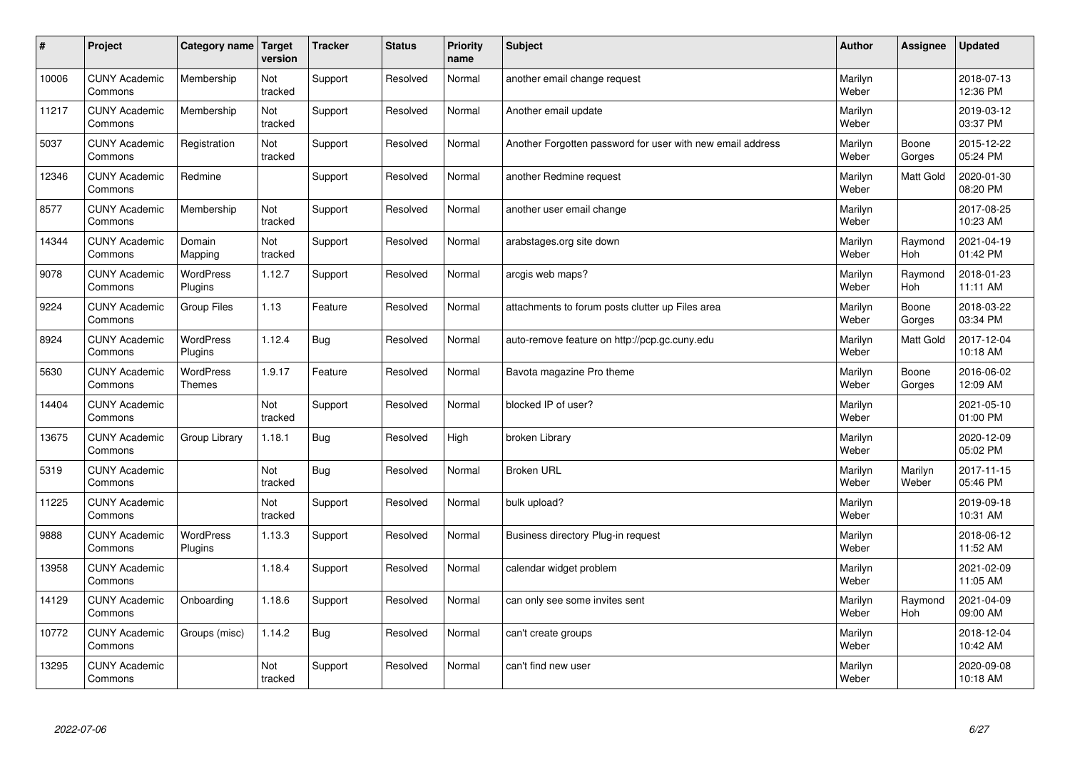| $\sharp$ | Project                         | Category name   Target      | version        | <b>Tracker</b> | <b>Status</b> | <b>Priority</b><br>name | <b>Subject</b>                                             | <b>Author</b>    | Assignee         | <b>Updated</b>         |
|----------|---------------------------------|-----------------------------|----------------|----------------|---------------|-------------------------|------------------------------------------------------------|------------------|------------------|------------------------|
| 10006    | <b>CUNY Academic</b><br>Commons | Membership                  | Not<br>tracked | Support        | Resolved      | Normal                  | another email change request                               | Marilyn<br>Weber |                  | 2018-07-13<br>12:36 PM |
| 11217    | <b>CUNY Academic</b><br>Commons | Membership                  | Not<br>tracked | Support        | Resolved      | Normal                  | Another email update                                       | Marilyn<br>Weber |                  | 2019-03-12<br>03:37 PM |
| 5037     | <b>CUNY Academic</b><br>Commons | Registration                | Not<br>tracked | Support        | Resolved      | Normal                  | Another Forgotten password for user with new email address | Marilyn<br>Weber | Boone<br>Gorges  | 2015-12-22<br>05:24 PM |
| 12346    | <b>CUNY Academic</b><br>Commons | Redmine                     |                | Support        | Resolved      | Normal                  | another Redmine request                                    | Marilyn<br>Weber | <b>Matt Gold</b> | 2020-01-30<br>08:20 PM |
| 8577     | <b>CUNY Academic</b><br>Commons | Membership                  | Not<br>tracked | Support        | Resolved      | Normal                  | another user email change                                  | Marilyn<br>Weber |                  | 2017-08-25<br>10:23 AM |
| 14344    | <b>CUNY Academic</b><br>Commons | Domain<br>Mapping           | Not<br>tracked | Support        | Resolved      | Normal                  | arabstages.org site down                                   | Marilyn<br>Weber | Raymond<br>Hoh   | 2021-04-19<br>01:42 PM |
| 9078     | <b>CUNY Academic</b><br>Commons | <b>WordPress</b><br>Plugins | 1.12.7         | Support        | Resolved      | Normal                  | arcgis web maps?                                           | Marilyn<br>Weber | Raymond<br>Hoh   | 2018-01-23<br>11:11 AM |
| 9224     | <b>CUNY Academic</b><br>Commons | Group Files                 | 1.13           | Feature        | Resolved      | Normal                  | attachments to forum posts clutter up Files area           | Marilyn<br>Weber | Boone<br>Gorges  | 2018-03-22<br>03:34 PM |
| 8924     | <b>CUNY Academic</b><br>Commons | <b>WordPress</b><br>Plugins | 1.12.4         | Bug            | Resolved      | Normal                  | auto-remove feature on http://pcp.gc.cuny.edu              | Marilyn<br>Weber | <b>Matt Gold</b> | 2017-12-04<br>10:18 AM |
| 5630     | <b>CUNY Academic</b><br>Commons | WordPress<br><b>Themes</b>  | 1.9.17         | Feature        | Resolved      | Normal                  | Bavota magazine Pro theme                                  | Marilyn<br>Weber | Boone<br>Gorges  | 2016-06-02<br>12:09 AM |
| 14404    | <b>CUNY Academic</b><br>Commons |                             | Not<br>tracked | Support        | Resolved      | Normal                  | blocked IP of user?                                        | Marilyn<br>Weber |                  | 2021-05-10<br>01:00 PM |
| 13675    | <b>CUNY Academic</b><br>Commons | Group Library               | 1.18.1         | Bug            | Resolved      | High                    | broken Library                                             | Marilyn<br>Weber |                  | 2020-12-09<br>05:02 PM |
| 5319     | <b>CUNY Academic</b><br>Commons |                             | Not<br>tracked | Bug            | Resolved      | Normal                  | <b>Broken URL</b>                                          | Marilyn<br>Weber | Marilyn<br>Weber | 2017-11-15<br>05:46 PM |
| 11225    | <b>CUNY Academic</b><br>Commons |                             | Not<br>tracked | Support        | Resolved      | Normal                  | bulk upload?                                               | Marilyn<br>Weber |                  | 2019-09-18<br>10:31 AM |
| 9888     | <b>CUNY Academic</b><br>Commons | <b>WordPress</b><br>Plugins | 1.13.3         | Support        | Resolved      | Normal                  | Business directory Plug-in request                         | Marilyn<br>Weber |                  | 2018-06-12<br>11:52 AM |
| 13958    | <b>CUNY Academic</b><br>Commons |                             | 1.18.4         | Support        | Resolved      | Normal                  | calendar widget problem                                    | Marilyn<br>Weber |                  | 2021-02-09<br>11:05 AM |
| 14129    | <b>CUNY Academic</b><br>Commons | Onboarding                  | 1.18.6         | Support        | Resolved      | Normal                  | can only see some invites sent                             | Marilyn<br>Weber | Raymond<br>Hoh   | 2021-04-09<br>09:00 AM |
| 10772    | <b>CUNY Academic</b><br>Commons | Groups (misc)               | 1.14.2         | Bug            | Resolved      | Normal                  | can't create groups                                        | Marilyn<br>Weber |                  | 2018-12-04<br>10:42 AM |
| 13295    | <b>CUNY Academic</b><br>Commons |                             | Not<br>tracked | Support        | Resolved      | Normal                  | can't find new user                                        | Marilyn<br>Weber |                  | 2020-09-08<br>10:18 AM |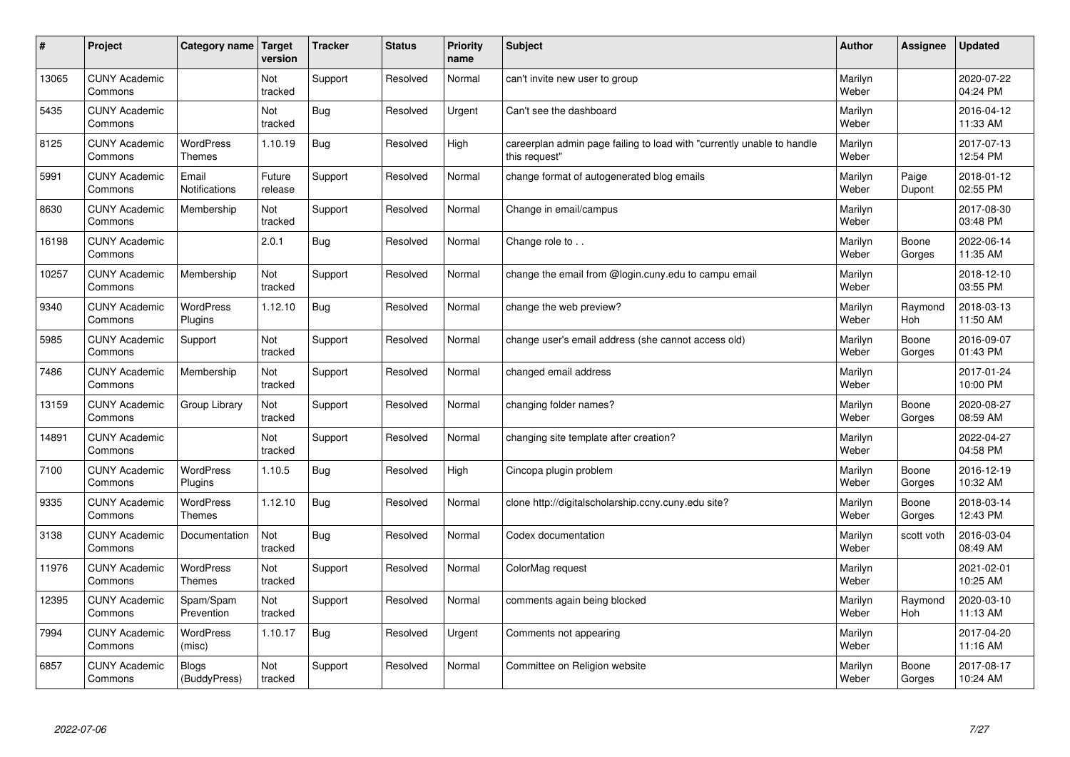| #     | Project                         | Category name   Target            | version           | <b>Tracker</b> | <b>Status</b> | <b>Priority</b><br>name | <b>Subject</b>                                                                          | <b>Author</b>    | Assignee        | <b>Updated</b>         |
|-------|---------------------------------|-----------------------------------|-------------------|----------------|---------------|-------------------------|-----------------------------------------------------------------------------------------|------------------|-----------------|------------------------|
| 13065 | <b>CUNY Academic</b><br>Commons |                                   | Not<br>tracked    | Support        | Resolved      | Normal                  | can't invite new user to group                                                          | Marilyn<br>Weber |                 | 2020-07-22<br>04:24 PM |
| 5435  | <b>CUNY Academic</b><br>Commons |                                   | Not<br>tracked    | Bug            | Resolved      | Urgent                  | Can't see the dashboard                                                                 | Marilyn<br>Weber |                 | 2016-04-12<br>11:33 AM |
| 8125  | <b>CUNY Academic</b><br>Commons | <b>WordPress</b><br><b>Themes</b> | 1.10.19           | <b>Bug</b>     | Resolved      | High                    | careerplan admin page failing to load with "currently unable to handle<br>this request" | Marilyn<br>Weber |                 | 2017-07-13<br>12:54 PM |
| 5991  | <b>CUNY Academic</b><br>Commons | Email<br>Notifications            | Future<br>release | Support        | Resolved      | Normal                  | change format of autogenerated blog emails                                              | Marilyn<br>Weber | Paige<br>Dupont | 2018-01-12<br>02:55 PM |
| 8630  | <b>CUNY Academic</b><br>Commons | Membership                        | Not<br>tracked    | Support        | Resolved      | Normal                  | Change in email/campus                                                                  | Marilyn<br>Weber |                 | 2017-08-30<br>03:48 PM |
| 16198 | <b>CUNY Academic</b><br>Commons |                                   | 2.0.1             | <b>Bug</b>     | Resolved      | Normal                  | Change role to                                                                          | Marilyn<br>Weber | Boone<br>Gorges | 2022-06-14<br>11:35 AM |
| 10257 | <b>CUNY Academic</b><br>Commons | Membership                        | Not<br>tracked    | Support        | Resolved      | Normal                  | change the email from @login.cuny.edu to campu email                                    | Marilyn<br>Weber |                 | 2018-12-10<br>03:55 PM |
| 9340  | <b>CUNY Academic</b><br>Commons | WordPress<br>Plugins              | 1.12.10           | Bug            | Resolved      | Normal                  | change the web preview?                                                                 | Marilyn<br>Weber | Raymond<br>Hoh  | 2018-03-13<br>11:50 AM |
| 5985  | <b>CUNY Academic</b><br>Commons | Support                           | Not<br>tracked    | Support        | Resolved      | Normal                  | change user's email address (she cannot access old)                                     | Marilyn<br>Weber | Boone<br>Gorges | 2016-09-07<br>01:43 PM |
| 7486  | <b>CUNY Academic</b><br>Commons | Membership                        | Not<br>tracked    | Support        | Resolved      | Normal                  | changed email address                                                                   | Marilyn<br>Weber |                 | 2017-01-24<br>10:00 PM |
| 13159 | <b>CUNY Academic</b><br>Commons | Group Library                     | Not<br>tracked    | Support        | Resolved      | Normal                  | changing folder names?                                                                  | Marilyn<br>Weber | Boone<br>Gorges | 2020-08-27<br>08:59 AM |
| 14891 | <b>CUNY Academic</b><br>Commons |                                   | Not<br>tracked    | Support        | Resolved      | Normal                  | changing site template after creation?                                                  | Marilyn<br>Weber |                 | 2022-04-27<br>04:58 PM |
| 7100  | <b>CUNY Academic</b><br>Commons | <b>WordPress</b><br>Plugins       | 1.10.5            | Bug            | Resolved      | High                    | Cincopa plugin problem                                                                  | Marilyn<br>Weber | Boone<br>Gorges | 2016-12-19<br>10:32 AM |
| 9335  | <b>CUNY Academic</b><br>Commons | <b>WordPress</b><br><b>Themes</b> | 1.12.10           | Bug            | Resolved      | Normal                  | clone http://digitalscholarship.ccny.cuny.edu site?                                     | Marilyn<br>Weber | Boone<br>Gorges | 2018-03-14<br>12:43 PM |
| 3138  | <b>CUNY Academic</b><br>Commons | Documentation                     | Not<br>tracked    | Bug            | Resolved      | Normal                  | Codex documentation                                                                     | Marilyn<br>Weber | scott voth      | 2016-03-04<br>08:49 AM |
| 11976 | <b>CUNY Academic</b><br>Commons | <b>WordPress</b><br><b>Themes</b> | Not<br>tracked    | Support        | Resolved      | Normal                  | ColorMag request                                                                        | Marilyn<br>Weber |                 | 2021-02-01<br>10:25 AM |
| 12395 | <b>CUNY Academic</b><br>Commons | Spam/Spam<br>Prevention           | Not<br>tracked    | Support        | Resolved      | Normal                  | comments again being blocked                                                            | Marilyn<br>Weber | Raymond<br>Hoh  | 2020-03-10<br>11:13 AM |
| 7994  | <b>CUNY Academic</b><br>Commons | WordPress<br>(misc)               | 1.10.17           | <b>Bug</b>     | Resolved      | Urgent                  | Comments not appearing                                                                  | Marilyn<br>Weber |                 | 2017-04-20<br>11:16 AM |
| 6857  | <b>CUNY Academic</b><br>Commons | Blogs<br>(BuddyPress)             | Not<br>tracked    | Support        | Resolved      | Normal                  | Committee on Religion website                                                           | Marilyn<br>Weber | Boone<br>Gorges | 2017-08-17<br>10:24 AM |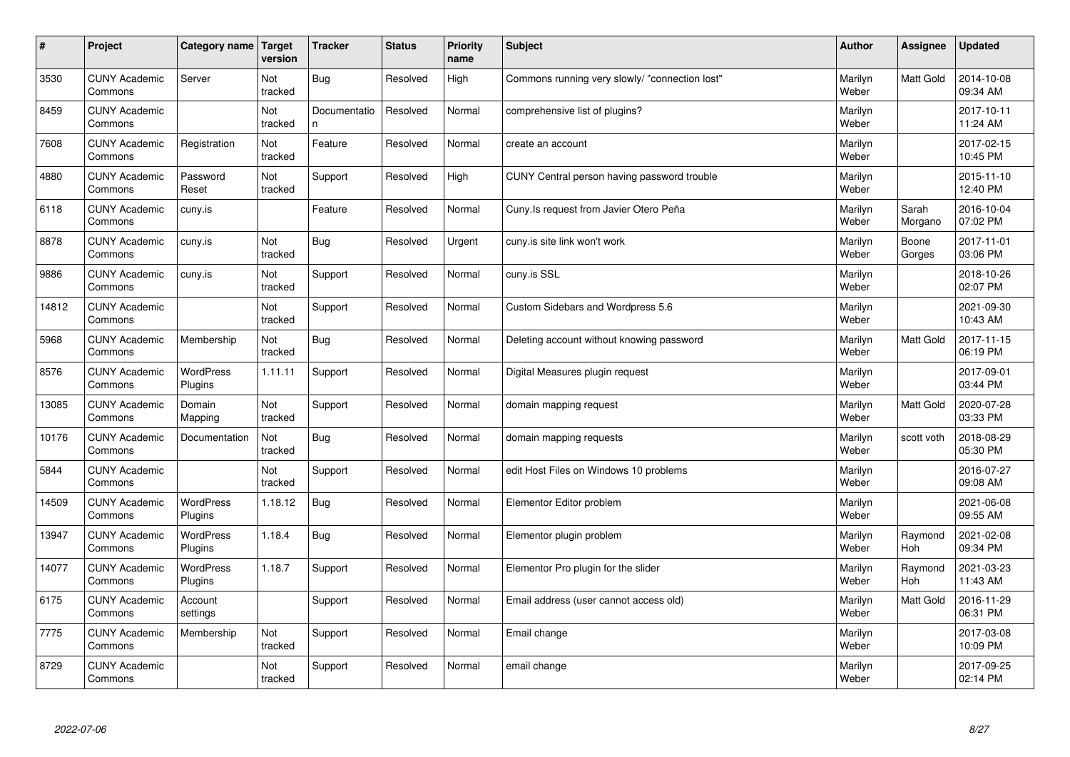| $\sharp$ | Project                         | Category name   Target      | version        | <b>Tracker</b>     | <b>Status</b> | <b>Priority</b><br>name | <b>Subject</b>                                 | <b>Author</b>    | Assignee              | <b>Updated</b>         |
|----------|---------------------------------|-----------------------------|----------------|--------------------|---------------|-------------------------|------------------------------------------------|------------------|-----------------------|------------------------|
| 3530     | <b>CUNY Academic</b><br>Commons | Server                      | Not<br>tracked | Bug                | Resolved      | High                    | Commons running very slowly/ "connection lost" | Marilyn<br>Weber | <b>Matt Gold</b>      | 2014-10-08<br>09:34 AM |
| 8459     | <b>CUNY Academic</b><br>Commons |                             | Not<br>tracked | Documentatio<br>n. | Resolved      | Normal                  | comprehensive list of plugins?                 | Marilyn<br>Weber |                       | 2017-10-11<br>11:24 AM |
| 7608     | <b>CUNY Academic</b><br>Commons | Registration                | Not<br>tracked | Feature            | Resolved      | Normal                  | create an account                              | Marilyn<br>Weber |                       | 2017-02-15<br>10:45 PM |
| 4880     | <b>CUNY Academic</b><br>Commons | Password<br>Reset           | Not<br>tracked | Support            | Resolved      | High                    | CUNY Central person having password trouble    | Marilyn<br>Weber |                       | 2015-11-10<br>12:40 PM |
| 6118     | <b>CUNY Academic</b><br>Commons | cuny.is                     |                | Feature            | Resolved      | Normal                  | Cuny. Is request from Javier Otero Peña        | Marilyn<br>Weber | Sarah<br>Morgano      | 2016-10-04<br>07:02 PM |
| 8878     | <b>CUNY Academic</b><br>Commons | cuny.is                     | Not<br>tracked | Bug                | Resolved      | Urgent                  | cuny.is site link won't work                   | Marilyn<br>Weber | Boone<br>Gorges       | 2017-11-01<br>03:06 PM |
| 9886     | <b>CUNY Academic</b><br>Commons | cuny.is                     | Not<br>tracked | Support            | Resolved      | Normal                  | cuny.is SSL                                    | Marilyn<br>Weber |                       | 2018-10-26<br>02:07 PM |
| 14812    | <b>CUNY Academic</b><br>Commons |                             | Not<br>tracked | Support            | Resolved      | Normal                  | Custom Sidebars and Wordpress 5.6              | Marilyn<br>Weber |                       | 2021-09-30<br>10:43 AM |
| 5968     | <b>CUNY Academic</b><br>Commons | Membership                  | Not<br>tracked | Bug                | Resolved      | Normal                  | Deleting account without knowing password      | Marilyn<br>Weber | <b>Matt Gold</b>      | 2017-11-15<br>06:19 PM |
| 8576     | <b>CUNY Academic</b><br>Commons | WordPress<br>Plugins        | 1.11.11        | Support            | Resolved      | Normal                  | Digital Measures plugin request                | Marilyn<br>Weber |                       | 2017-09-01<br>03:44 PM |
| 13085    | <b>CUNY Academic</b><br>Commons | Domain<br>Mapping           | Not<br>tracked | Support            | Resolved      | Normal                  | domain mapping request                         | Marilyn<br>Weber | <b>Matt Gold</b>      | 2020-07-28<br>03:33 PM |
| 10176    | <b>CUNY Academic</b><br>Commons | Documentation               | Not<br>tracked | <b>Bug</b>         | Resolved      | Normal                  | domain mapping requests                        | Marilyn<br>Weber | scott voth            | 2018-08-29<br>05:30 PM |
| 5844     | <b>CUNY Academic</b><br>Commons |                             | Not<br>tracked | Support            | Resolved      | Normal                  | edit Host Files on Windows 10 problems         | Marilyn<br>Weber |                       | 2016-07-27<br>09:08 AM |
| 14509    | <b>CUNY Academic</b><br>Commons | WordPress<br>Plugins        | 1.18.12        | Bug                | Resolved      | Normal                  | Elementor Editor problem                       | Marilyn<br>Weber |                       | 2021-06-08<br>09:55 AM |
| 13947    | <b>CUNY Academic</b><br>Commons | <b>WordPress</b><br>Plugins | 1.18.4         | <b>Bug</b>         | Resolved      | Normal                  | Elementor plugin problem                       | Marilyn<br>Weber | Raymond<br><b>Hoh</b> | 2021-02-08<br>09:34 PM |
| 14077    | <b>CUNY Academic</b><br>Commons | <b>WordPress</b><br>Plugins | 1.18.7         | Support            | Resolved      | Normal                  | Elementor Pro plugin for the slider            | Marilyn<br>Weber | Raymond<br>Hoh        | 2021-03-23<br>11:43 AM |
| 6175     | <b>CUNY Academic</b><br>Commons | Account<br>settings         |                | Support            | Resolved      | Normal                  | Email address (user cannot access old)         | Marilyn<br>Weber | Matt Gold             | 2016-11-29<br>06:31 PM |
| 7775     | <b>CUNY Academic</b><br>Commons | Membership                  | Not<br>tracked | Support            | Resolved      | Normal                  | Email change                                   | Marilyn<br>Weber |                       | 2017-03-08<br>10:09 PM |
| 8729     | <b>CUNY Academic</b><br>Commons |                             | Not<br>tracked | Support            | Resolved      | Normal                  | email change                                   | Marilyn<br>Weber |                       | 2017-09-25<br>02:14 PM |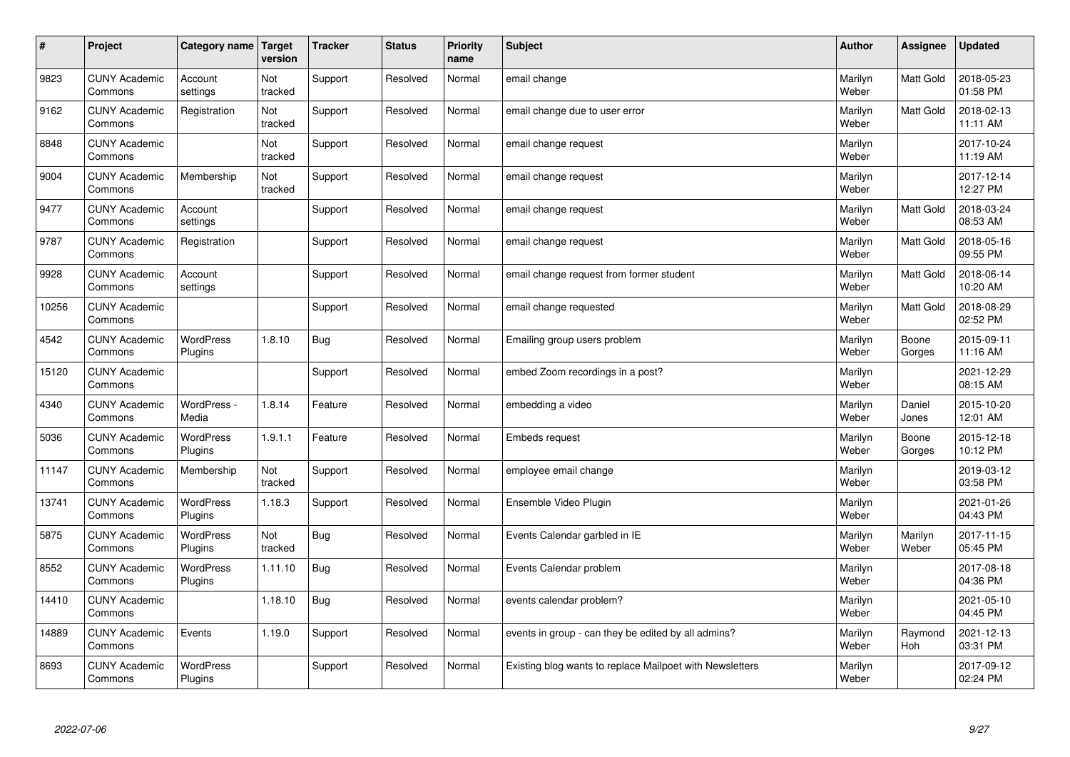| #     | Project                         | Category name   Target      | version        | <b>Tracker</b> | <b>Status</b> | <b>Priority</b><br>name | <b>Subject</b>                                           | <b>Author</b>    | Assignee         | <b>Updated</b>         |
|-------|---------------------------------|-----------------------------|----------------|----------------|---------------|-------------------------|----------------------------------------------------------|------------------|------------------|------------------------|
| 9823  | <b>CUNY Academic</b><br>Commons | Account<br>settings         | Not<br>tracked | Support        | Resolved      | Normal                  | email change                                             | Marilyn<br>Weber | <b>Matt Gold</b> | 2018-05-23<br>01:58 PM |
| 9162  | <b>CUNY Academic</b><br>Commons | Registration                | Not<br>tracked | Support        | Resolved      | Normal                  | email change due to user error                           | Marilyn<br>Weber | Matt Gold        | 2018-02-13<br>11:11 AM |
| 8848  | <b>CUNY Academic</b><br>Commons |                             | Not<br>tracked | Support        | Resolved      | Normal                  | email change request                                     | Marilyn<br>Weber |                  | 2017-10-24<br>11:19 AM |
| 9004  | <b>CUNY Academic</b><br>Commons | Membership                  | Not<br>tracked | Support        | Resolved      | Normal                  | email change request                                     | Marilyn<br>Weber |                  | 2017-12-14<br>12:27 PM |
| 9477  | <b>CUNY Academic</b><br>Commons | Account<br>settings         |                | Support        | Resolved      | Normal                  | email change request                                     | Marilyn<br>Weber | Matt Gold        | 2018-03-24<br>08:53 AM |
| 9787  | <b>CUNY Academic</b><br>Commons | Registration                |                | Support        | Resolved      | Normal                  | email change request                                     | Marilyn<br>Weber | Matt Gold        | 2018-05-16<br>09:55 PM |
| 9928  | <b>CUNY Academic</b><br>Commons | Account<br>settings         |                | Support        | Resolved      | Normal                  | email change request from former student                 | Marilyn<br>Weber | Matt Gold        | 2018-06-14<br>10:20 AM |
| 10256 | <b>CUNY Academic</b><br>Commons |                             |                | Support        | Resolved      | Normal                  | email change requested                                   | Marilyn<br>Weber | Matt Gold        | 2018-08-29<br>02:52 PM |
| 4542  | <b>CUNY Academic</b><br>Commons | <b>WordPress</b><br>Plugins | 1.8.10         | Bug            | Resolved      | Normal                  | Emailing group users problem                             | Marilyn<br>Weber | Boone<br>Gorges  | 2015-09-11<br>11:16 AM |
| 15120 | <b>CUNY Academic</b><br>Commons |                             |                | Support        | Resolved      | Normal                  | embed Zoom recordings in a post?                         | Marilyn<br>Weber |                  | 2021-12-29<br>08:15 AM |
| 4340  | <b>CUNY Academic</b><br>Commons | WordPress -<br>Media        | 1.8.14         | Feature        | Resolved      | Normal                  | embedding a video                                        | Marilyn<br>Weber | Daniel<br>Jones  | 2015-10-20<br>12:01 AM |
| 5036  | <b>CUNY Academic</b><br>Commons | <b>WordPress</b><br>Plugins | 1.9.1.1        | Feature        | Resolved      | Normal                  | <b>Embeds request</b>                                    | Marilyn<br>Weber | Boone<br>Gorges  | 2015-12-18<br>10:12 PM |
| 11147 | <b>CUNY Academic</b><br>Commons | Membership                  | Not<br>tracked | Support        | Resolved      | Normal                  | employee email change                                    | Marilyn<br>Weber |                  | 2019-03-12<br>03:58 PM |
| 13741 | <b>CUNY Academic</b><br>Commons | WordPress<br>Plugins        | 1.18.3         | Support        | Resolved      | Normal                  | Ensemble Video Plugin                                    | Marilyn<br>Weber |                  | 2021-01-26<br>04:43 PM |
| 5875  | <b>CUNY Academic</b><br>Commons | <b>WordPress</b><br>Plugins | Not<br>tracked | <b>Bug</b>     | Resolved      | Normal                  | Events Calendar garbled in IE                            | Marilyn<br>Weber | Marilyn<br>Weber | 2017-11-15<br>05:45 PM |
| 8552  | <b>CUNY Academic</b><br>Commons | <b>WordPress</b><br>Plugins | 1.11.10        | Bug            | Resolved      | Normal                  | Events Calendar problem                                  | Marilyn<br>Weber |                  | 2017-08-18<br>04:36 PM |
| 14410 | <b>CUNY Academic</b><br>Commons |                             | 1.18.10        | Bug            | Resolved      | Normal                  | events calendar problem?                                 | Marilyn<br>Weber |                  | 2021-05-10<br>04:45 PM |
| 14889 | <b>CUNY Academic</b><br>Commons | Events                      | 1.19.0         | Support        | Resolved      | Normal                  | events in group - can they be edited by all admins?      | Marilyn<br>Weber | Raymond<br>Hoh   | 2021-12-13<br>03:31 PM |
| 8693  | <b>CUNY Academic</b><br>Commons | <b>WordPress</b><br>Plugins |                | Support        | Resolved      | Normal                  | Existing blog wants to replace Mailpoet with Newsletters | Marilyn<br>Weber |                  | 2017-09-12<br>02:24 PM |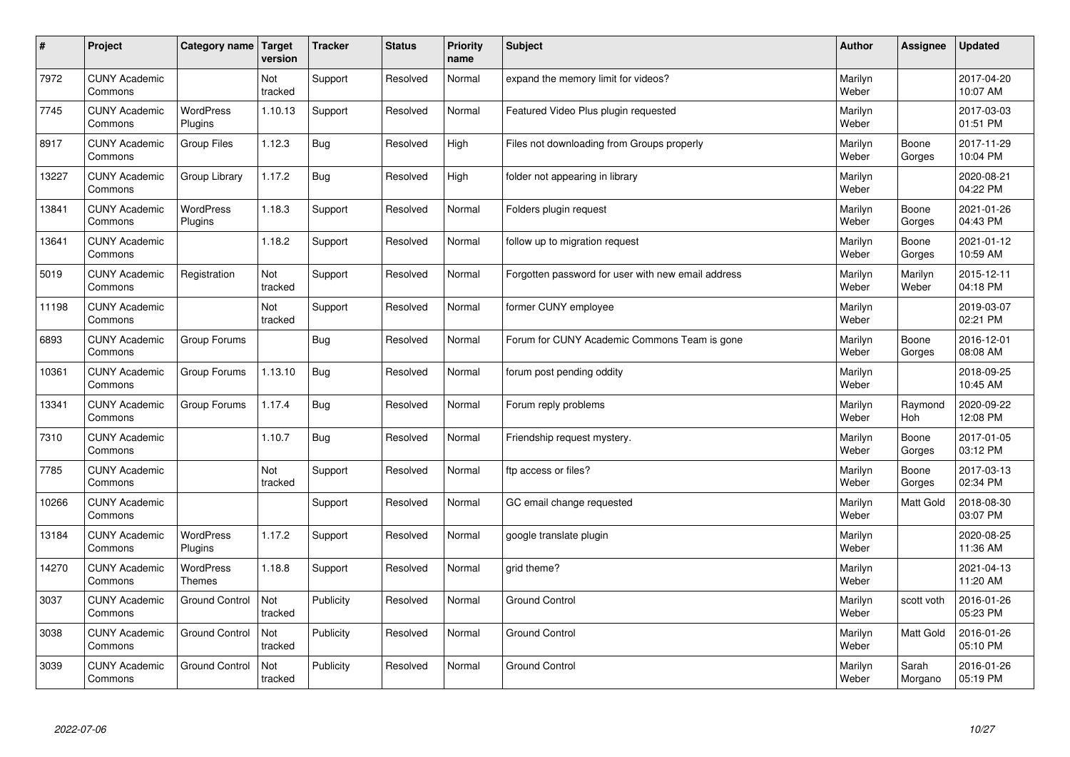| $\sharp$ | Project                         | Category name   Target            | version        | <b>Tracker</b> | <b>Status</b> | <b>Priority</b><br>name | <b>Subject</b>                                     | <b>Author</b>    | Assignee         | <b>Updated</b>         |
|----------|---------------------------------|-----------------------------------|----------------|----------------|---------------|-------------------------|----------------------------------------------------|------------------|------------------|------------------------|
| 7972     | <b>CUNY Academic</b><br>Commons |                                   | Not<br>tracked | Support        | Resolved      | Normal                  | expand the memory limit for videos?                | Marilyn<br>Weber |                  | 2017-04-20<br>10:07 AM |
| 7745     | <b>CUNY Academic</b><br>Commons | <b>WordPress</b><br>Plugins       | 1.10.13        | Support        | Resolved      | Normal                  | Featured Video Plus plugin requested               | Marilyn<br>Weber |                  | 2017-03-03<br>01:51 PM |
| 8917     | <b>CUNY Academic</b><br>Commons | <b>Group Files</b>                | 1.12.3         | Bug            | Resolved      | High                    | Files not downloading from Groups properly         | Marilyn<br>Weber | Boone<br>Gorges  | 2017-11-29<br>10:04 PM |
| 13227    | <b>CUNY Academic</b><br>Commons | Group Library                     | 1.17.2         | Bug            | Resolved      | High                    | folder not appearing in library                    | Marilyn<br>Weber |                  | 2020-08-21<br>04:22 PM |
| 13841    | <b>CUNY Academic</b><br>Commons | <b>WordPress</b><br>Plugins       | 1.18.3         | Support        | Resolved      | Normal                  | Folders plugin request                             | Marilyn<br>Weber | Boone<br>Gorges  | 2021-01-26<br>04:43 PM |
| 13641    | <b>CUNY Academic</b><br>Commons |                                   | 1.18.2         | Support        | Resolved      | Normal                  | follow up to migration request                     | Marilyn<br>Weber | Boone<br>Gorges  | 2021-01-12<br>10:59 AM |
| 5019     | <b>CUNY Academic</b><br>Commons | Registration                      | Not<br>tracked | Support        | Resolved      | Normal                  | Forgotten password for user with new email address | Marilyn<br>Weber | Marilyn<br>Weber | 2015-12-11<br>04:18 PM |
| 11198    | <b>CUNY Academic</b><br>Commons |                                   | Not<br>tracked | Support        | Resolved      | Normal                  | former CUNY employee                               | Marilyn<br>Weber |                  | 2019-03-07<br>02:21 PM |
| 6893     | <b>CUNY Academic</b><br>Commons | Group Forums                      |                | <b>Bug</b>     | Resolved      | Normal                  | Forum for CUNY Academic Commons Team is gone       | Marilyn<br>Weber | Boone<br>Gorges  | 2016-12-01<br>08:08 AM |
| 10361    | <b>CUNY Academic</b><br>Commons | Group Forums                      | 1.13.10        | Bug            | Resolved      | Normal                  | forum post pending oddity                          | Marilyn<br>Weber |                  | 2018-09-25<br>10:45 AM |
| 13341    | <b>CUNY Academic</b><br>Commons | Group Forums                      | 1.17.4         | <b>Bug</b>     | Resolved      | Normal                  | Forum reply problems                               | Marilyn<br>Weber | Raymond<br>Hoh   | 2020-09-22<br>12:08 PM |
| 7310     | <b>CUNY Academic</b><br>Commons |                                   | 1.10.7         | Bug            | Resolved      | Normal                  | Friendship request mystery.                        | Marilyn<br>Weber | Boone<br>Gorges  | 2017-01-05<br>03:12 PM |
| 7785     | <b>CUNY Academic</b><br>Commons |                                   | Not<br>tracked | Support        | Resolved      | Normal                  | ftp access or files?                               | Marilyn<br>Weber | Boone<br>Gorges  | 2017-03-13<br>02:34 PM |
| 10266    | <b>CUNY Academic</b><br>Commons |                                   |                | Support        | Resolved      | Normal                  | GC email change requested                          | Marilyn<br>Weber | <b>Matt Gold</b> | 2018-08-30<br>03:07 PM |
| 13184    | <b>CUNY Academic</b><br>Commons | WordPress<br>Plugins              | 1.17.2         | Support        | Resolved      | Normal                  | google translate plugin                            | Marilyn<br>Weber |                  | 2020-08-25<br>11:36 AM |
| 14270    | <b>CUNY Academic</b><br>Commons | <b>WordPress</b><br><b>Themes</b> | 1.18.8         | Support        | Resolved      | Normal                  | grid theme?                                        | Marilyn<br>Weber |                  | 2021-04-13<br>11:20 AM |
| 3037     | <b>CUNY Academic</b><br>Commons | <b>Ground Control</b>             | Not<br>tracked | Publicity      | Resolved      | Normal                  | <b>Ground Control</b>                              | Marilyn<br>Weber | scott voth       | 2016-01-26<br>05:23 PM |
| 3038     | <b>CUNY Academic</b><br>Commons | <b>Ground Control</b>             | Not<br>tracked | Publicity      | Resolved      | Normal                  | <b>Ground Control</b>                              | Marilyn<br>Weber | <b>Matt Gold</b> | 2016-01-26<br>05:10 PM |
| 3039     | <b>CUNY Academic</b><br>Commons | <b>Ground Control</b>             | Not<br>tracked | Publicity      | Resolved      | Normal                  | <b>Ground Control</b>                              | Marilyn<br>Weber | Sarah<br>Morgano | 2016-01-26<br>05:19 PM |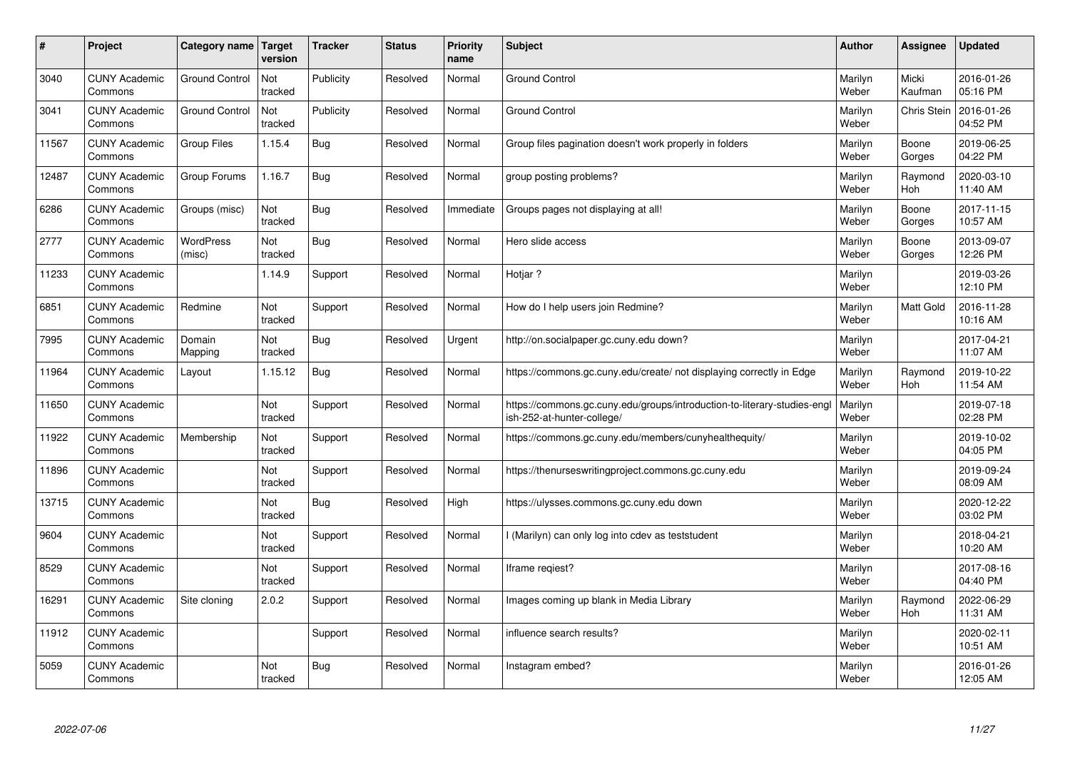| #     | Project                         | Category name   Target     | version        | <b>Tracker</b> | <b>Status</b> | Priority<br>name | <b>Subject</b>                                                                                        | <b>Author</b>    | Assignee              | <b>Updated</b>         |
|-------|---------------------------------|----------------------------|----------------|----------------|---------------|------------------|-------------------------------------------------------------------------------------------------------|------------------|-----------------------|------------------------|
| 3040  | <b>CUNY Academic</b><br>Commons | <b>Ground Control</b>      | Not<br>tracked | Publicity      | Resolved      | Normal           | <b>Ground Control</b>                                                                                 | Marilyn<br>Weber | Micki<br>Kaufman      | 2016-01-26<br>05:16 PM |
| 3041  | <b>CUNY Academic</b><br>Commons | <b>Ground Control</b>      | Not<br>tracked | Publicity      | Resolved      | Normal           | <b>Ground Control</b>                                                                                 | Marilyn<br>Weber | <b>Chris Stein</b>    | 2016-01-26<br>04:52 PM |
| 11567 | <b>CUNY Academic</b><br>Commons | <b>Group Files</b>         | 1.15.4         | Bug            | Resolved      | Normal           | Group files pagination doesn't work properly in folders                                               | Marilyn<br>Weber | Boone<br>Gorges       | 2019-06-25<br>04:22 PM |
| 12487 | <b>CUNY Academic</b><br>Commons | Group Forums               | 1.16.7         | Bug            | Resolved      | Normal           | group posting problems?                                                                               | Marilyn<br>Weber | Raymond<br><b>Hoh</b> | 2020-03-10<br>11:40 AM |
| 6286  | <b>CUNY Academic</b><br>Commons | Groups (misc)              | Not<br>tracked | <b>Bug</b>     | Resolved      | Immediate        | Groups pages not displaying at all!                                                                   | Marilyn<br>Weber | Boone<br>Gorges       | 2017-11-15<br>10:57 AM |
| 2777  | <b>CUNY Academic</b><br>Commons | <b>WordPress</b><br>(misc) | Not<br>tracked | Bug            | Resolved      | Normal           | Hero slide access                                                                                     | Marilyn<br>Weber | Boone<br>Gorges       | 2013-09-07<br>12:26 PM |
| 11233 | <b>CUNY Academic</b><br>Commons |                            | 1.14.9         | Support        | Resolved      | Normal           | Hotjar?                                                                                               | Marilyn<br>Weber |                       | 2019-03-26<br>12:10 PM |
| 6851  | <b>CUNY Academic</b><br>Commons | Redmine                    | Not<br>tracked | Support        | Resolved      | Normal           | How do I help users join Redmine?                                                                     | Marilyn<br>Weber | <b>Matt Gold</b>      | 2016-11-28<br>10:16 AM |
| 7995  | <b>CUNY Academic</b><br>Commons | Domain<br>Mapping          | Not<br>tracked | <b>Bug</b>     | Resolved      | Urgent           | http://on.socialpaper.gc.cuny.edu down?                                                               | Marilyn<br>Weber |                       | 2017-04-21<br>11:07 AM |
| 11964 | <b>CUNY Academic</b><br>Commons | Layout                     | 1.15.12        | <b>Bug</b>     | Resolved      | Normal           | https://commons.gc.cuny.edu/create/ not displaying correctly in Edge                                  | Marilyn<br>Weber | Raymond<br>Hoh        | 2019-10-22<br>11:54 AM |
| 11650 | <b>CUNY Academic</b><br>Commons |                            | Not<br>tracked | Support        | Resolved      | Normal           | https://commons.gc.cuny.edu/groups/introduction-to-literary-studies-eng<br>ish-252-at-hunter-college/ | Marilyn<br>Weber |                       | 2019-07-18<br>02:28 PM |
| 11922 | <b>CUNY Academic</b><br>Commons | Membership                 | Not<br>tracked | Support        | Resolved      | Normal           | https://commons.gc.cuny.edu/members/cunyhealthequity/                                                 | Marilyn<br>Weber |                       | 2019-10-02<br>04:05 PM |
| 11896 | <b>CUNY Academic</b><br>Commons |                            | Not<br>tracked | Support        | Resolved      | Normal           | https://thenurseswritingproject.commons.gc.cuny.edu                                                   | Marilyn<br>Weber |                       | 2019-09-24<br>08:09 AM |
| 13715 | <b>CUNY Academic</b><br>Commons |                            | Not<br>tracked | Bug            | Resolved      | High             | https://ulysses.commons.gc.cuny.edu down                                                              | Marilyn<br>Weber |                       | 2020-12-22<br>03:02 PM |
| 9604  | <b>CUNY Academic</b><br>Commons |                            | Not<br>tracked | Support        | Resolved      | Normal           | I (Marilyn) can only log into cdev as teststudent                                                     | Marilyn<br>Weber |                       | 2018-04-21<br>10:20 AM |
| 8529  | <b>CUNY Academic</b><br>Commons |                            | Not<br>tracked | Support        | Resolved      | Normal           | Iframe regiest?                                                                                       | Marilyn<br>Weber |                       | 2017-08-16<br>04:40 PM |
| 16291 | <b>CUNY Academic</b><br>Commons | Site cloning               | 2.0.2          | Support        | Resolved      | Normal           | Images coming up blank in Media Library                                                               | Marilyn<br>Weber | Raymond<br>Hoh        | 2022-06-29<br>11:31 AM |
| 11912 | <b>CUNY Academic</b><br>Commons |                            |                | Support        | Resolved      | Normal           | influence search results?                                                                             | Marilyn<br>Weber |                       | 2020-02-11<br>10:51 AM |
| 5059  | <b>CUNY Academic</b><br>Commons |                            | Not<br>tracked | Bug            | Resolved      | Normal           | Instagram embed?                                                                                      | Marilyn<br>Weber |                       | 2016-01-26<br>12:05 AM |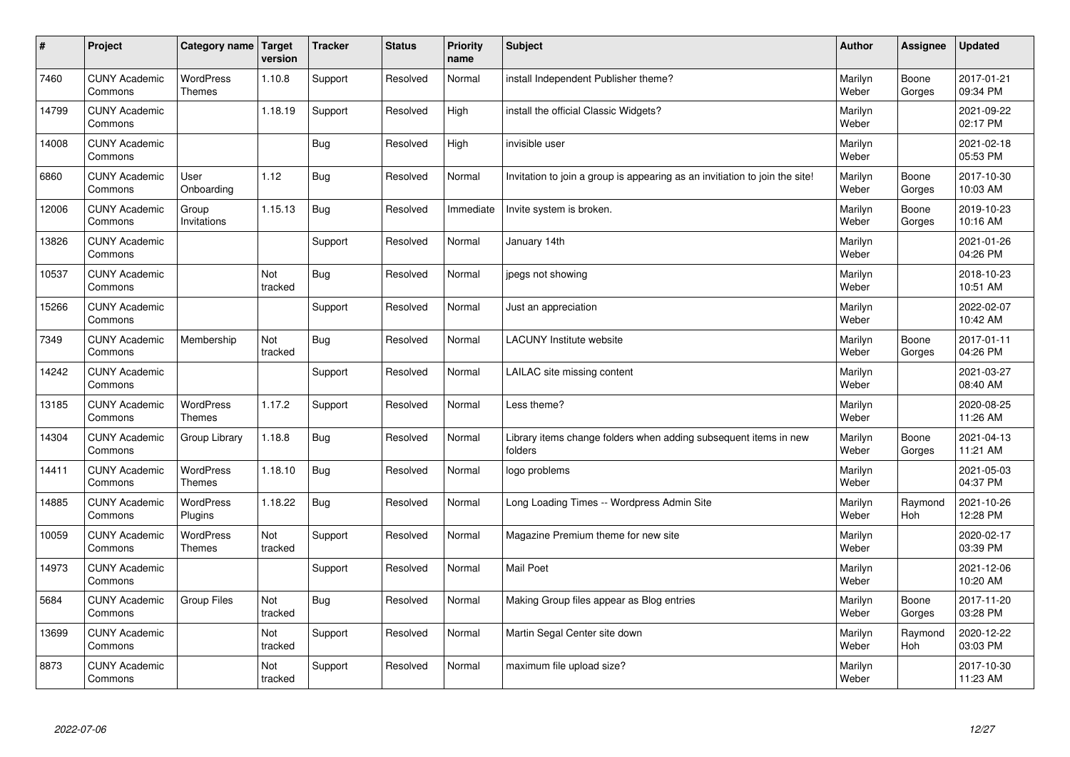| $\sharp$ | Project                         | Category name   Target            | version        | <b>Tracker</b> | <b>Status</b> | <b>Priority</b><br>name | <b>Subject</b>                                                              | <b>Author</b>    | Assignee              | <b>Updated</b>         |
|----------|---------------------------------|-----------------------------------|----------------|----------------|---------------|-------------------------|-----------------------------------------------------------------------------|------------------|-----------------------|------------------------|
| 7460     | <b>CUNY Academic</b><br>Commons | <b>WordPress</b><br>Themes        | 1.10.8         | Support        | Resolved      | Normal                  | install Independent Publisher theme?                                        | Marilyn<br>Weber | Boone<br>Gorges       | 2017-01-21<br>09:34 PM |
| 14799    | <b>CUNY Academic</b><br>Commons |                                   | 1.18.19        | Support        | Resolved      | High                    | install the official Classic Widgets?                                       | Marilyn<br>Weber |                       | 2021-09-22<br>02:17 PM |
| 14008    | <b>CUNY Academic</b><br>Commons |                                   |                | <b>Bug</b>     | Resolved      | High                    | invisible user                                                              | Marilyn<br>Weber |                       | 2021-02-18<br>05:53 PM |
| 6860     | <b>CUNY Academic</b><br>Commons | User<br>Onboarding                | 1.12           | <b>Bug</b>     | Resolved      | Normal                  | Invitation to join a group is appearing as an invitiation to join the site! | Marilyn<br>Weber | Boone<br>Gorges       | 2017-10-30<br>10:03 AM |
| 12006    | <b>CUNY Academic</b><br>Commons | Group<br>Invitations              | 1.15.13        | Bug            | Resolved      | Immediate               | Invite system is broken.                                                    | Marilyn<br>Weber | Boone<br>Gorges       | 2019-10-23<br>10:16 AM |
| 13826    | <b>CUNY Academic</b><br>Commons |                                   |                | Support        | Resolved      | Normal                  | January 14th                                                                | Marilyn<br>Weber |                       | 2021-01-26<br>04:26 PM |
| 10537    | <b>CUNY Academic</b><br>Commons |                                   | Not<br>tracked | <b>Bug</b>     | Resolved      | Normal                  | jpegs not showing                                                           | Marilyn<br>Weber |                       | 2018-10-23<br>10:51 AM |
| 15266    | <b>CUNY Academic</b><br>Commons |                                   |                | Support        | Resolved      | Normal                  | Just an appreciation                                                        | Marilyn<br>Weber |                       | 2022-02-07<br>10:42 AM |
| 7349     | <b>CUNY Academic</b><br>Commons | Membership                        | Not<br>tracked | Bug            | Resolved      | Normal                  | <b>LACUNY</b> Institute website                                             | Marilyn<br>Weber | Boone<br>Gorges       | 2017-01-11<br>04:26 PM |
| 14242    | <b>CUNY Academic</b><br>Commons |                                   |                | Support        | Resolved      | Normal                  | LAILAC site missing content                                                 | Marilyn<br>Weber |                       | 2021-03-27<br>08:40 AM |
| 13185    | <b>CUNY Academic</b><br>Commons | <b>WordPress</b><br><b>Themes</b> | 1.17.2         | Support        | Resolved      | Normal                  | Less theme?                                                                 | Marilyn<br>Weber |                       | 2020-08-25<br>11:26 AM |
| 14304    | <b>CUNY Academic</b><br>Commons | Group Library                     | 1.18.8         | Bug            | Resolved      | Normal                  | Library items change folders when adding subsequent items in new<br>folders | Marilyn<br>Weber | Boone<br>Gorges       | 2021-04-13<br>11:21 AM |
| 14411    | <b>CUNY Academic</b><br>Commons | WordPress<br><b>Themes</b>        | 1.18.10        | Bug            | Resolved      | Normal                  | logo problems                                                               | Marilyn<br>Weber |                       | 2021-05-03<br>04:37 PM |
| 14885    | <b>CUNY Academic</b><br>Commons | <b>WordPress</b><br>Plugins       | 1.18.22        | Bug            | Resolved      | Normal                  | Long Loading Times -- Wordpress Admin Site                                  | Marilyn<br>Weber | Raymond<br><b>Hoh</b> | 2021-10-26<br>12:28 PM |
| 10059    | <b>CUNY Academic</b><br>Commons | <b>WordPress</b><br><b>Themes</b> | Not<br>tracked | Support        | Resolved      | Normal                  | Magazine Premium theme for new site                                         | Marilyn<br>Weber |                       | 2020-02-17<br>03:39 PM |
| 14973    | <b>CUNY Academic</b><br>Commons |                                   |                | Support        | Resolved      | Normal                  | <b>Mail Poet</b>                                                            | Marilyn<br>Weber |                       | 2021-12-06<br>10:20 AM |
| 5684     | <b>CUNY Academic</b><br>Commons | Group Files                       | Not<br>tracked | Bug            | Resolved      | Normal                  | Making Group files appear as Blog entries                                   | Marilyn<br>Weber | Boone<br>Gorges       | 2017-11-20<br>03:28 PM |
| 13699    | <b>CUNY Academic</b><br>Commons |                                   | Not<br>tracked | Support        | Resolved      | Normal                  | Martin Segal Center site down                                               | Marilyn<br>Weber | Raymond<br><b>Hoh</b> | 2020-12-22<br>03:03 PM |
| 8873     | <b>CUNY Academic</b><br>Commons |                                   | Not<br>tracked | Support        | Resolved      | Normal                  | maximum file upload size?                                                   | Marilyn<br>Weber |                       | 2017-10-30<br>11:23 AM |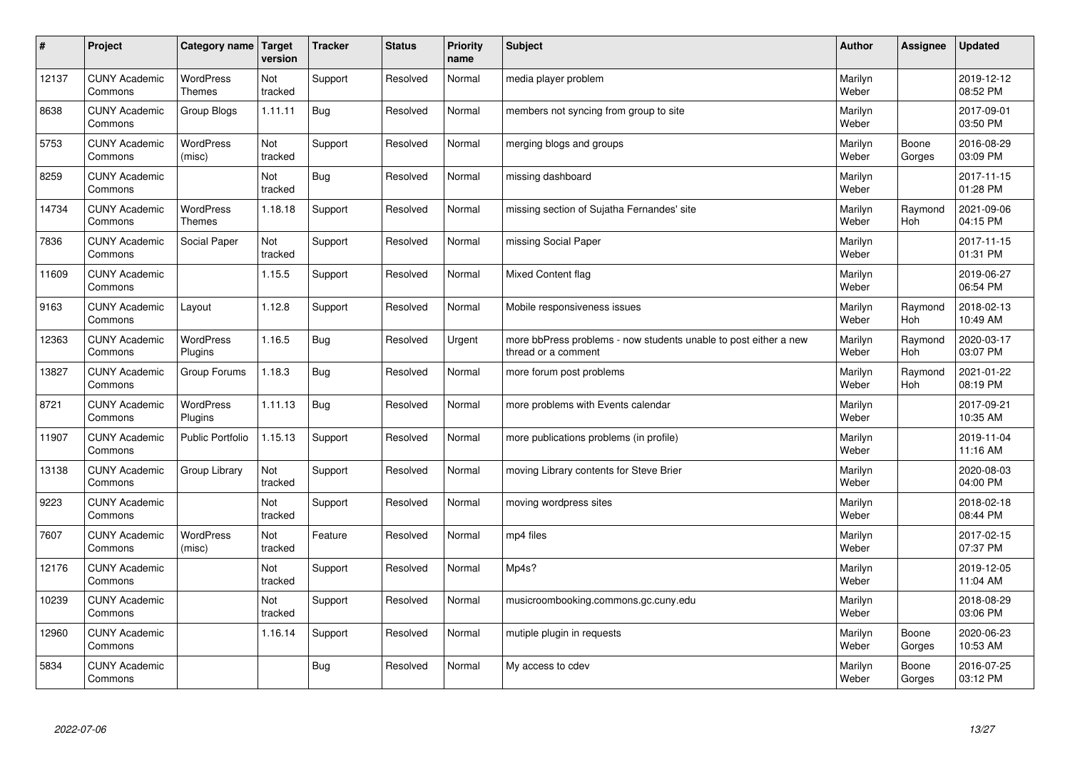| $\sharp$ | Project                         | Category name   Target            | version        | <b>Tracker</b> | <b>Status</b> | <b>Priority</b><br>name | <b>Subject</b>                                                                          | <b>Author</b>    | <b>Assignee</b>       | <b>Updated</b>         |
|----------|---------------------------------|-----------------------------------|----------------|----------------|---------------|-------------------------|-----------------------------------------------------------------------------------------|------------------|-----------------------|------------------------|
| 12137    | <b>CUNY Academic</b><br>Commons | <b>WordPress</b><br><b>Themes</b> | Not<br>tracked | Support        | Resolved      | Normal                  | media player problem                                                                    | Marilyn<br>Weber |                       | 2019-12-12<br>08:52 PM |
| 8638     | <b>CUNY Academic</b><br>Commons | Group Blogs                       | 1.11.11        | Bug            | Resolved      | Normal                  | members not syncing from group to site                                                  | Marilyn<br>Weber |                       | 2017-09-01<br>03:50 PM |
| 5753     | <b>CUNY Academic</b><br>Commons | <b>WordPress</b><br>(misc)        | Not<br>tracked | Support        | Resolved      | Normal                  | merging blogs and groups                                                                | Marilyn<br>Weber | Boone<br>Gorges       | 2016-08-29<br>03:09 PM |
| 8259     | <b>CUNY Academic</b><br>Commons |                                   | Not<br>tracked | Bug            | Resolved      | Normal                  | missing dashboard                                                                       | Marilyn<br>Weber |                       | 2017-11-15<br>01:28 PM |
| 14734    | <b>CUNY Academic</b><br>Commons | <b>WordPress</b><br><b>Themes</b> | 1.18.18        | Support        | Resolved      | Normal                  | missing section of Sujatha Fernandes' site                                              | Marilyn<br>Weber | Raymond<br>Hoh        | 2021-09-06<br>04:15 PM |
| 7836     | <b>CUNY Academic</b><br>Commons | Social Paper                      | Not<br>tracked | Support        | Resolved      | Normal                  | missing Social Paper                                                                    | Marilyn<br>Weber |                       | 2017-11-15<br>01:31 PM |
| 11609    | <b>CUNY Academic</b><br>Commons |                                   | 1.15.5         | Support        | Resolved      | Normal                  | Mixed Content flag                                                                      | Marilyn<br>Weber |                       | 2019-06-27<br>06:54 PM |
| 9163     | <b>CUNY Academic</b><br>Commons | Layout                            | 1.12.8         | Support        | Resolved      | Normal                  | Mobile responsiveness issues                                                            | Marilyn<br>Weber | Raymond<br>Hoh        | 2018-02-13<br>10:49 AM |
| 12363    | <b>CUNY Academic</b><br>Commons | <b>WordPress</b><br>Plugins       | 1.16.5         | Bug            | Resolved      | Urgent                  | more bbPress problems - now students unable to post either a new<br>thread or a comment | Marilyn<br>Weber | Raymond<br>Hoh        | 2020-03-17<br>03:07 PM |
| 13827    | <b>CUNY Academic</b><br>Commons | Group Forums                      | 1.18.3         | Bug            | Resolved      | Normal                  | more forum post problems                                                                | Marilyn<br>Weber | Raymond<br><b>Hoh</b> | 2021-01-22<br>08:19 PM |
| 8721     | <b>CUNY Academic</b><br>Commons | WordPress<br>Plugins              | 1.11.13        | Bug            | Resolved      | Normal                  | more problems with Events calendar                                                      | Marilyn<br>Weber |                       | 2017-09-21<br>10:35 AM |
| 11907    | <b>CUNY Academic</b><br>Commons | Public Portfolio                  | 1.15.13        | Support        | Resolved      | Normal                  | more publications problems (in profile)                                                 | Marilyn<br>Weber |                       | 2019-11-04<br>11:16 AM |
| 13138    | <b>CUNY Academic</b><br>Commons | Group Library                     | Not<br>tracked | Support        | Resolved      | Normal                  | moving Library contents for Steve Brier                                                 | Marilyn<br>Weber |                       | 2020-08-03<br>04:00 PM |
| 9223     | <b>CUNY Academic</b><br>Commons |                                   | Not<br>tracked | Support        | Resolved      | Normal                  | moving wordpress sites                                                                  | Marilyn<br>Weber |                       | 2018-02-18<br>08:44 PM |
| 7607     | <b>CUNY Academic</b><br>Commons | WordPress<br>(misc)               | Not<br>tracked | Feature        | Resolved      | Normal                  | mp4 files                                                                               | Marilyn<br>Weber |                       | 2017-02-15<br>07:37 PM |
| 12176    | <b>CUNY Academic</b><br>Commons |                                   | Not<br>tracked | Support        | Resolved      | Normal                  | Mp4s?                                                                                   | Marilyn<br>Weber |                       | 2019-12-05<br>11:04 AM |
| 10239    | <b>CUNY Academic</b><br>Commons |                                   | Not<br>tracked | Support        | Resolved      | Normal                  | musicroombooking.commons.gc.cuny.edu                                                    | Marilyn<br>Weber |                       | 2018-08-29<br>03:06 PM |
| 12960    | <b>CUNY Academic</b><br>Commons |                                   | 1.16.14        | Support        | Resolved      | Normal                  | mutiple plugin in requests                                                              | Marilyn<br>Weber | Boone<br>Gorges       | 2020-06-23<br>10:53 AM |
| 5834     | <b>CUNY Academic</b><br>Commons |                                   |                | <b>Bug</b>     | Resolved      | Normal                  | My access to cdev                                                                       | Marilyn<br>Weber | Boone<br>Gorges       | 2016-07-25<br>03:12 PM |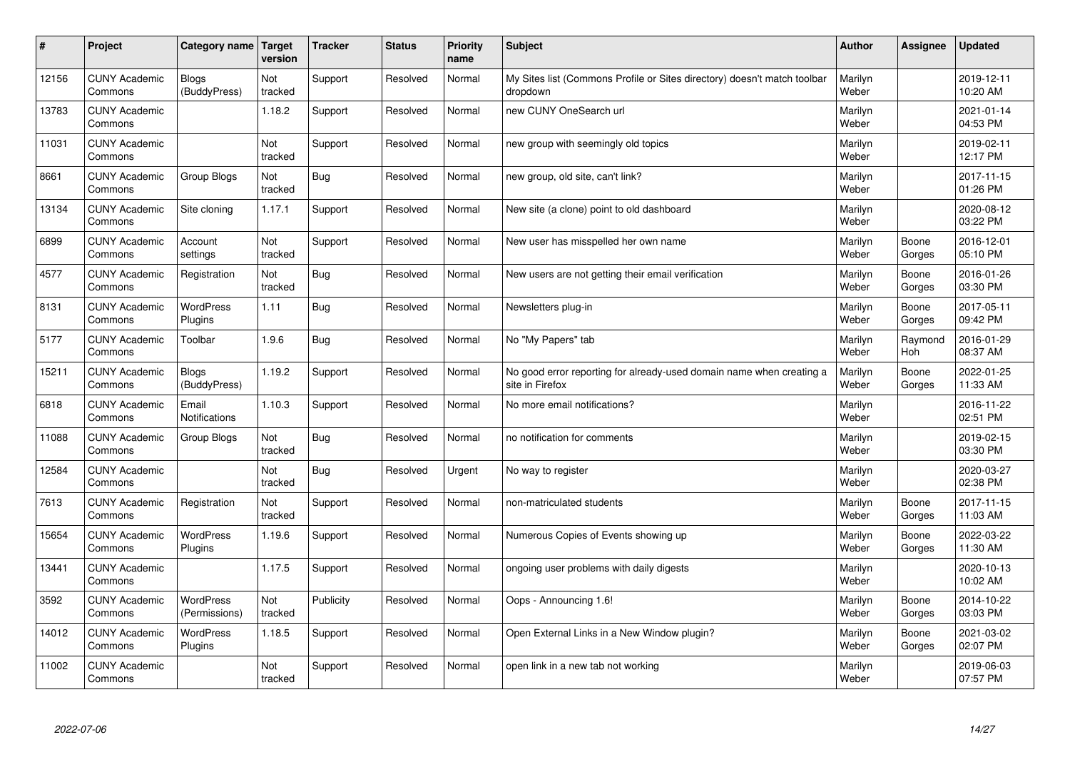| $\pmb{\#}$ | Project                         | Category name                     | Target<br>version | <b>Tracker</b> | <b>Status</b> | <b>Priority</b><br>name | <b>Subject</b>                                                                          | <b>Author</b>    | <b>Assignee</b> | Updated                |
|------------|---------------------------------|-----------------------------------|-------------------|----------------|---------------|-------------------------|-----------------------------------------------------------------------------------------|------------------|-----------------|------------------------|
| 12156      | <b>CUNY Academic</b><br>Commons | Blogs<br>(BuddyPress)             | Not<br>tracked    | Support        | Resolved      | Normal                  | My Sites list (Commons Profile or Sites directory) doesn't match toolbar<br>dropdown    | Marilyn<br>Weber |                 | 2019-12-11<br>10:20 AM |
| 13783      | <b>CUNY Academic</b><br>Commons |                                   | 1.18.2            | Support        | Resolved      | Normal                  | new CUNY OneSearch url                                                                  | Marilyn<br>Weber |                 | 2021-01-14<br>04:53 PM |
| 11031      | <b>CUNY Academic</b><br>Commons |                                   | Not<br>tracked    | Support        | Resolved      | Normal                  | new group with seemingly old topics                                                     | Marilyn<br>Weber |                 | 2019-02-11<br>12:17 PM |
| 8661       | <b>CUNY Academic</b><br>Commons | Group Blogs                       | Not<br>tracked    | <b>Bug</b>     | Resolved      | Normal                  | new group, old site, can't link?                                                        | Marilyn<br>Weber |                 | 2017-11-15<br>01:26 PM |
| 13134      | <b>CUNY Academic</b><br>Commons | Site cloning                      | 1.17.1            | Support        | Resolved      | Normal                  | New site (a clone) point to old dashboard                                               | Marilyn<br>Weber |                 | 2020-08-12<br>03:22 PM |
| 6899       | <b>CUNY Academic</b><br>Commons | Account<br>settings               | Not<br>tracked    | Support        | Resolved      | Normal                  | New user has misspelled her own name                                                    | Marilyn<br>Weber | Boone<br>Gorges | 2016-12-01<br>05:10 PM |
| 4577       | <b>CUNY Academic</b><br>Commons | Registration                      | Not<br>tracked    | Bug            | Resolved      | Normal                  | New users are not getting their email verification                                      | Marilyn<br>Weber | Boone<br>Gorges | 2016-01-26<br>03:30 PM |
| 8131       | <b>CUNY Academic</b><br>Commons | <b>WordPress</b><br>Plugins       | 1.11              | Bug            | Resolved      | Normal                  | Newsletters plug-in                                                                     | Marilyn<br>Weber | Boone<br>Gorges | 2017-05-11<br>09:42 PM |
| 5177       | <b>CUNY Academic</b><br>Commons | Toolbar                           | 1.9.6             | Bug            | Resolved      | Normal                  | No "My Papers" tab                                                                      | Marilyn<br>Weber | Raymond<br>Hoh  | 2016-01-29<br>08:37 AM |
| 15211      | <b>CUNY Academic</b><br>Commons | <b>Blogs</b><br>(BuddyPress)      | 1.19.2            | Support        | Resolved      | Normal                  | No good error reporting for already-used domain name when creating a<br>site in Firefox | Marilyn<br>Weber | Boone<br>Gorges | 2022-01-25<br>11:33 AM |
| 6818       | <b>CUNY Academic</b><br>Commons | Email<br>Notifications            | 1.10.3            | Support        | Resolved      | Normal                  | No more email notifications?                                                            | Marilyn<br>Weber |                 | 2016-11-22<br>02:51 PM |
| 11088      | <b>CUNY Academic</b><br>Commons | Group Blogs                       | Not<br>tracked    | Bug            | Resolved      | Normal                  | no notification for comments                                                            | Marilyn<br>Weber |                 | 2019-02-15<br>03:30 PM |
| 12584      | <b>CUNY Academic</b><br>Commons |                                   | Not<br>tracked    | <b>Bug</b>     | Resolved      | Urgent                  | No way to register                                                                      | Marilyn<br>Weber |                 | 2020-03-27<br>02:38 PM |
| 7613       | <b>CUNY Academic</b><br>Commons | Registration                      | Not<br>tracked    | Support        | Resolved      | Normal                  | non-matriculated students                                                               | Marilyn<br>Weber | Boone<br>Gorges | 2017-11-15<br>11:03 AM |
| 15654      | <b>CUNY Academic</b><br>Commons | WordPress<br>Plugins              | 1.19.6            | Support        | Resolved      | Normal                  | Numerous Copies of Events showing up                                                    | Marilyn<br>Weber | Boone<br>Gorges | 2022-03-22<br>11:30 AM |
| 13441      | <b>CUNY Academic</b><br>Commons |                                   | 1.17.5            | Support        | Resolved      | Normal                  | ongoing user problems with daily digests                                                | Marilyn<br>Weber |                 | 2020-10-13<br>10:02 AM |
| 3592       | <b>CUNY Academic</b><br>Commons | <b>WordPress</b><br>(Permissions) | Not<br>tracked    | Publicity      | Resolved      | Normal                  | Oops - Announcing 1.6!                                                                  | Marilyn<br>Weber | Boone<br>Gorges | 2014-10-22<br>03:03 PM |
| 14012      | <b>CUNY Academic</b><br>Commons | WordPress<br>Plugins              | 1.18.5            | Support        | Resolved      | Normal                  | Open External Links in a New Window plugin?                                             | Marilyn<br>Weber | Boone<br>Gorges | 2021-03-02<br>02:07 PM |
| 11002      | <b>CUNY Academic</b><br>Commons |                                   | Not<br>tracked    | Support        | Resolved      | Normal                  | open link in a new tab not working                                                      | Marilyn<br>Weber |                 | 2019-06-03<br>07:57 PM |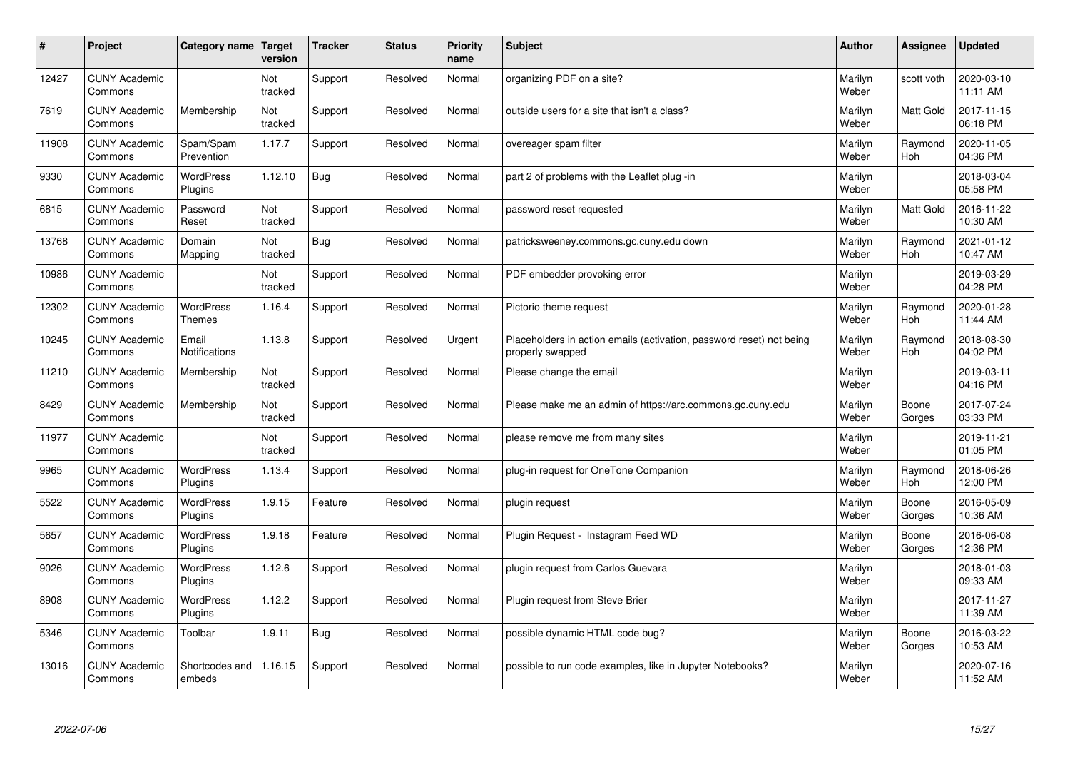| #     | Project                         | Category name                     | <b>Target</b><br>version | <b>Tracker</b> | <b>Status</b> | <b>Priority</b><br>name | <b>Subject</b>                                                                           | <b>Author</b>    | <b>Assignee</b>       | <b>Updated</b>         |
|-------|---------------------------------|-----------------------------------|--------------------------|----------------|---------------|-------------------------|------------------------------------------------------------------------------------------|------------------|-----------------------|------------------------|
| 12427 | <b>CUNY Academic</b><br>Commons |                                   | Not<br>tracked           | Support        | Resolved      | Normal                  | organizing PDF on a site?                                                                | Marilyn<br>Weber | scott voth            | 2020-03-10<br>11:11 AM |
| 7619  | <b>CUNY Academic</b><br>Commons | Membership                        | Not<br>tracked           | Support        | Resolved      | Normal                  | outside users for a site that isn't a class?                                             | Marilyn<br>Weber | Matt Gold             | 2017-11-15<br>06:18 PM |
| 11908 | <b>CUNY Academic</b><br>Commons | Spam/Spam<br>Prevention           | 1.17.7                   | Support        | Resolved      | Normal                  | overeager spam filter                                                                    | Marilyn<br>Weber | Raymond<br><b>Hoh</b> | 2020-11-05<br>04:36 PM |
| 9330  | <b>CUNY Academic</b><br>Commons | <b>WordPress</b><br>Plugins       | 1.12.10                  | Bug            | Resolved      | Normal                  | part 2 of problems with the Leaflet plug -in                                             | Marilyn<br>Weber |                       | 2018-03-04<br>05:58 PM |
| 6815  | <b>CUNY Academic</b><br>Commons | Password<br>Reset                 | Not<br>tracked           | Support        | Resolved      | Normal                  | password reset requested                                                                 | Marilyn<br>Weber | <b>Matt Gold</b>      | 2016-11-22<br>10:30 AM |
| 13768 | <b>CUNY Academic</b><br>Commons | Domain<br>Mapping                 | Not<br>tracked           | Bug            | Resolved      | Normal                  | patricksweeney.commons.gc.cuny.edu down                                                  | Marilyn<br>Weber | Raymond<br><b>Hoh</b> | 2021-01-12<br>10:47 AM |
| 10986 | <b>CUNY Academic</b><br>Commons |                                   | Not<br>tracked           | Support        | Resolved      | Normal                  | PDF embedder provoking error                                                             | Marilyn<br>Weber |                       | 2019-03-29<br>04:28 PM |
| 12302 | <b>CUNY Academic</b><br>Commons | <b>WordPress</b><br><b>Themes</b> | 1.16.4                   | Support        | Resolved      | Normal                  | Pictorio theme request                                                                   | Marilyn<br>Weber | Raymond<br>Hoh        | 2020-01-28<br>11:44 AM |
| 10245 | <b>CUNY Academic</b><br>Commons | Email<br>Notifications            | 1.13.8                   | Support        | Resolved      | Urgent                  | Placeholders in action emails (activation, password reset) not being<br>properly swapped | Marilyn<br>Weber | Raymond<br><b>Hoh</b> | 2018-08-30<br>04:02 PM |
| 11210 | <b>CUNY Academic</b><br>Commons | Membership                        | Not<br>tracked           | Support        | Resolved      | Normal                  | Please change the email                                                                  | Marilyn<br>Weber |                       | 2019-03-11<br>04:16 PM |
| 8429  | <b>CUNY Academic</b><br>Commons | Membership                        | Not<br>tracked           | Support        | Resolved      | Normal                  | Please make me an admin of https://arc.commons.gc.cuny.edu                               | Marilyn<br>Weber | Boone<br>Gorges       | 2017-07-24<br>03:33 PM |
| 11977 | <b>CUNY Academic</b><br>Commons |                                   | Not<br>tracked           | Support        | Resolved      | Normal                  | please remove me from many sites                                                         | Marilyn<br>Weber |                       | 2019-11-21<br>01:05 PM |
| 9965  | <b>CUNY Academic</b><br>Commons | <b>WordPress</b><br>Plugins       | 1.13.4                   | Support        | Resolved      | Normal                  | plug-in request for OneTone Companion                                                    | Marilyn<br>Weber | Raymond<br>Hoh        | 2018-06-26<br>12:00 PM |
| 5522  | <b>CUNY Academic</b><br>Commons | WordPress<br>Plugins              | 1.9.15                   | Feature        | Resolved      | Normal                  | plugin request                                                                           | Marilyn<br>Weber | Boone<br>Gorges       | 2016-05-09<br>10:36 AM |
| 5657  | <b>CUNY Academic</b><br>Commons | WordPress<br>Plugins              | 1.9.18                   | Feature        | Resolved      | Normal                  | Plugin Reguest - Instagram Feed WD                                                       | Marilyn<br>Weber | Boone<br>Gorges       | 2016-06-08<br>12:36 PM |
| 9026  | <b>CUNY Academic</b><br>Commons | <b>WordPress</b><br>Plugins       | 1.12.6                   | Support        | Resolved      | Normal                  | plugin request from Carlos Guevara                                                       | Marilyn<br>Weber |                       | 2018-01-03<br>09:33 AM |
| 8908  | <b>CUNY Academic</b><br>Commons | WordPress<br>Plugins              | 1.12.2                   | Support        | Resolved      | Normal                  | Plugin request from Steve Brier                                                          | Marilyn<br>Weber |                       | 2017-11-27<br>11:39 AM |
| 5346  | <b>CUNY Academic</b><br>Commons | Toolbar                           | 1.9.11                   | Bug            | Resolved      | Normal                  | possible dynamic HTML code bug?                                                          | Marilyn<br>Weber | Boone<br>Gorges       | 2016-03-22<br>10:53 AM |
| 13016 | <b>CUNY Academic</b><br>Commons | Shortcodes and<br>embeds          | 1.16.15                  | Support        | Resolved      | Normal                  | possible to run code examples, like in Jupyter Notebooks?                                | Marilyn<br>Weber |                       | 2020-07-16<br>11:52 AM |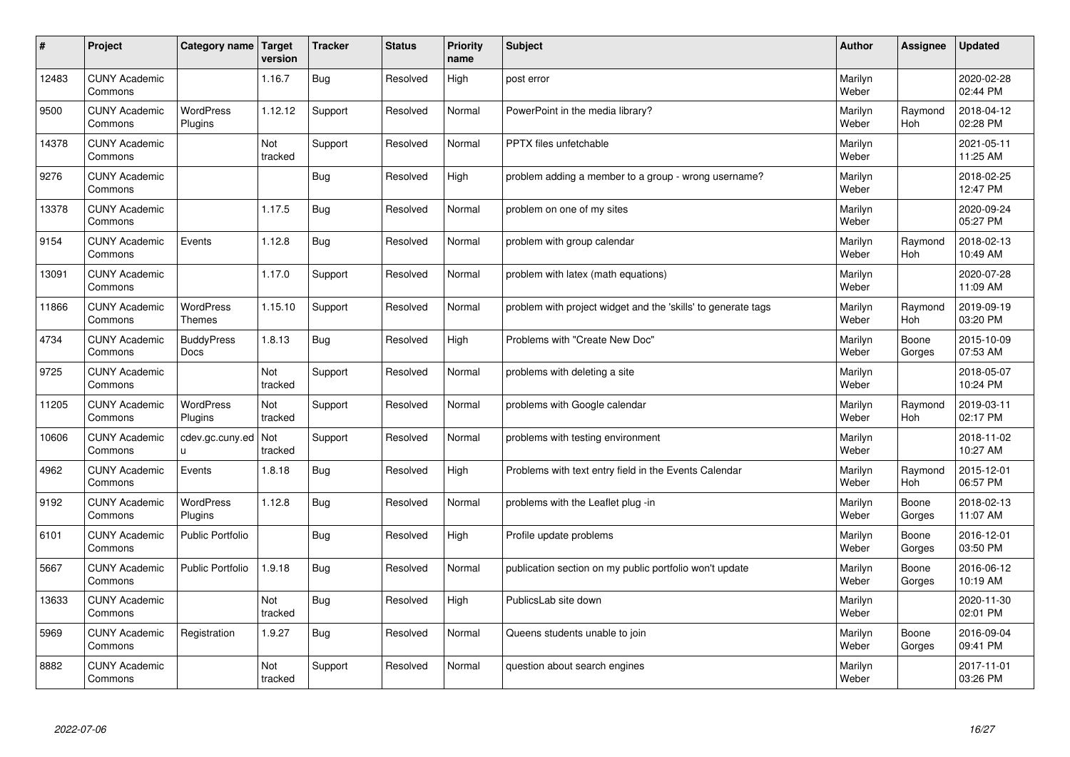| #     | Project                         | Category name   Target      | version        | <b>Tracker</b> | <b>Status</b> | <b>Priority</b><br>name | <b>Subject</b>                                                | <b>Author</b>    | Assignee              | <b>Updated</b>         |
|-------|---------------------------------|-----------------------------|----------------|----------------|---------------|-------------------------|---------------------------------------------------------------|------------------|-----------------------|------------------------|
| 12483 | <b>CUNY Academic</b><br>Commons |                             | 1.16.7         | Bug            | Resolved      | High                    | post error                                                    | Marilyn<br>Weber |                       | 2020-02-28<br>02:44 PM |
| 9500  | <b>CUNY Academic</b><br>Commons | <b>WordPress</b><br>Plugins | 1.12.12        | Support        | Resolved      | Normal                  | PowerPoint in the media library?                              | Marilyn<br>Weber | Raymond<br><b>Hoh</b> | 2018-04-12<br>02:28 PM |
| 14378 | <b>CUNY Academic</b><br>Commons |                             | Not<br>tracked | Support        | Resolved      | Normal                  | <b>PPTX</b> files unfetchable                                 | Marilyn<br>Weber |                       | 2021-05-11<br>11:25 AM |
| 9276  | <b>CUNY Academic</b><br>Commons |                             |                | <b>Bug</b>     | Resolved      | High                    | problem adding a member to a group - wrong username?          | Marilyn<br>Weber |                       | 2018-02-25<br>12:47 PM |
| 13378 | <b>CUNY Academic</b><br>Commons |                             | 1.17.5         | Bug            | Resolved      | Normal                  | problem on one of my sites                                    | Marilyn<br>Weber |                       | 2020-09-24<br>05:27 PM |
| 9154  | <b>CUNY Academic</b><br>Commons | Events                      | 1.12.8         | Bug            | Resolved      | Normal                  | problem with group calendar                                   | Marilyn<br>Weber | Raymond<br>Hoh        | 2018-02-13<br>10:49 AM |
| 13091 | <b>CUNY Academic</b><br>Commons |                             | 1.17.0         | Support        | Resolved      | Normal                  | problem with latex (math equations)                           | Marilyn<br>Weber |                       | 2020-07-28<br>11:09 AM |
| 11866 | <b>CUNY Academic</b><br>Commons | WordPress<br><b>Themes</b>  | 1.15.10        | Support        | Resolved      | Normal                  | problem with project widget and the 'skills' to generate tags | Marilyn<br>Weber | Raymond<br>Hoh        | 2019-09-19<br>03:20 PM |
| 4734  | <b>CUNY Academic</b><br>Commons | <b>BuddyPress</b><br>Docs   | 1.8.13         | Bug            | Resolved      | High                    | Problems with "Create New Doc"                                | Marilyn<br>Weber | Boone<br>Gorges       | 2015-10-09<br>07:53 AM |
| 9725  | <b>CUNY Academic</b><br>Commons |                             | Not<br>tracked | Support        | Resolved      | Normal                  | problems with deleting a site                                 | Marilyn<br>Weber |                       | 2018-05-07<br>10:24 PM |
| 11205 | <b>CUNY Academic</b><br>Commons | <b>WordPress</b><br>Plugins | Not<br>tracked | Support        | Resolved      | Normal                  | problems with Google calendar                                 | Marilyn<br>Weber | Raymond<br><b>Hoh</b> | 2019-03-11<br>02:17 PM |
| 10606 | <b>CUNY Academic</b><br>Commons | cdev.gc.cuny.ed<br>u.       | Not<br>tracked | Support        | Resolved      | Normal                  | problems with testing environment                             | Marilyn<br>Weber |                       | 2018-11-02<br>10:27 AM |
| 4962  | <b>CUNY Academic</b><br>Commons | Events                      | 1.8.18         | Bug            | Resolved      | High                    | Problems with text entry field in the Events Calendar         | Marilyn<br>Weber | Raymond<br>Hoh        | 2015-12-01<br>06:57 PM |
| 9192  | <b>CUNY Academic</b><br>Commons | WordPress<br>Plugins        | 1.12.8         | <b>Bug</b>     | Resolved      | Normal                  | problems with the Leaflet plug -in                            | Marilyn<br>Weber | Boone<br>Gorges       | 2018-02-13<br>11:07 AM |
| 6101  | <b>CUNY Academic</b><br>Commons | Public Portfolio            |                | Bug            | Resolved      | High                    | Profile update problems                                       | Marilyn<br>Weber | Boone<br>Gorges       | 2016-12-01<br>03:50 PM |
| 5667  | <b>CUNY Academic</b><br>Commons | <b>Public Portfolio</b>     | 1.9.18         | Bug            | Resolved      | Normal                  | publication section on my public portfolio won't update       | Marilyn<br>Weber | Boone<br>Gorges       | 2016-06-12<br>10:19 AM |
| 13633 | <b>CUNY Academic</b><br>Commons |                             | Not<br>tracked | Bug            | Resolved      | High                    | PublicsLab site down                                          | Marilyn<br>Weber |                       | 2020-11-30<br>02:01 PM |
| 5969  | <b>CUNY Academic</b><br>Commons | Registration                | 1.9.27         | Bug            | Resolved      | Normal                  | Queens students unable to join                                | Marilyn<br>Weber | Boone<br>Gorges       | 2016-09-04<br>09:41 PM |
| 8882  | <b>CUNY Academic</b><br>Commons |                             | Not<br>tracked | Support        | Resolved      | Normal                  | question about search engines                                 | Marilyn<br>Weber |                       | 2017-11-01<br>03:26 PM |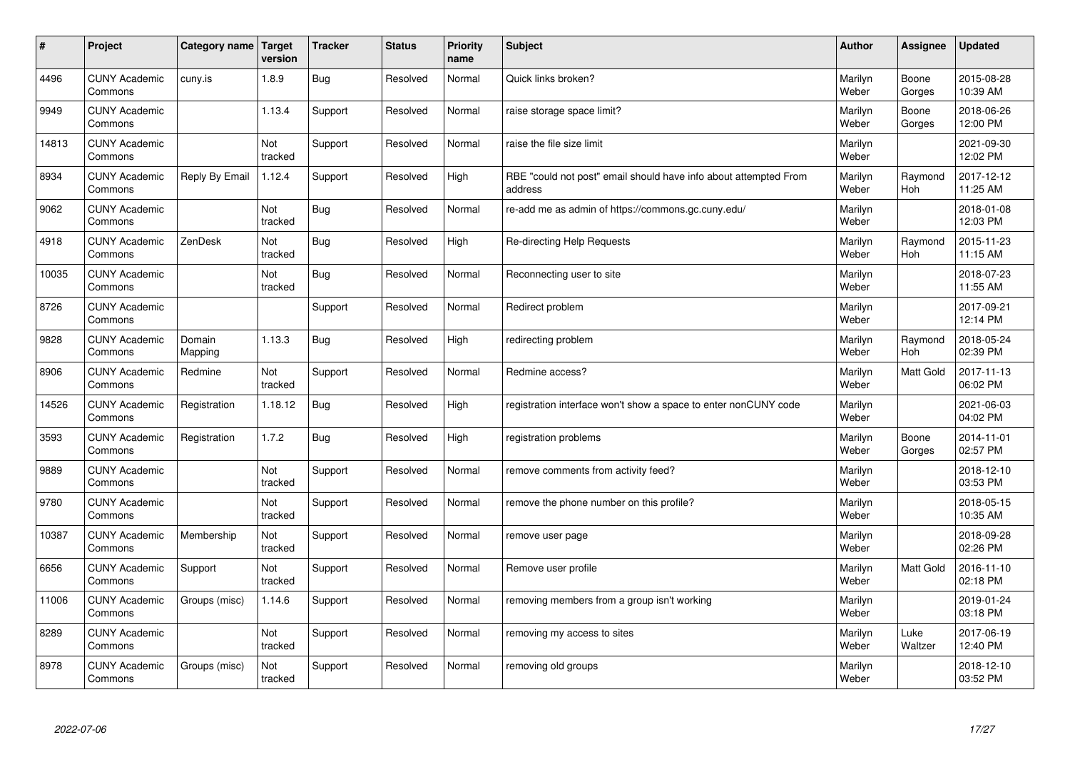| #     | Project                         | Category name   Target | version        | <b>Tracker</b> | <b>Status</b> | <b>Priority</b><br>name | <b>Subject</b>                                                              | <b>Author</b>    | Assignee              | <b>Updated</b>         |
|-------|---------------------------------|------------------------|----------------|----------------|---------------|-------------------------|-----------------------------------------------------------------------------|------------------|-----------------------|------------------------|
| 4496  | <b>CUNY Academic</b><br>Commons | cuny.is                | 1.8.9          | Bug            | Resolved      | Normal                  | Quick links broken?                                                         | Marilyn<br>Weber | Boone<br>Gorges       | 2015-08-28<br>10:39 AM |
| 9949  | <b>CUNY Academic</b><br>Commons |                        | 1.13.4         | Support        | Resolved      | Normal                  | raise storage space limit?                                                  | Marilyn<br>Weber | Boone<br>Gorges       | 2018-06-26<br>12:00 PM |
| 14813 | <b>CUNY Academic</b><br>Commons |                        | Not<br>tracked | Support        | Resolved      | Normal                  | raise the file size limit                                                   | Marilyn<br>Weber |                       | 2021-09-30<br>12:02 PM |
| 8934  | <b>CUNY Academic</b><br>Commons | Reply By Email         | 1.12.4         | Support        | Resolved      | High                    | RBE "could not post" email should have info about attempted From<br>address | Marilyn<br>Weber | Raymond<br><b>Hoh</b> | 2017-12-12<br>11:25 AM |
| 9062  | <b>CUNY Academic</b><br>Commons |                        | Not<br>tracked | Bug            | Resolved      | Normal                  | re-add me as admin of https://commons.gc.cuny.edu/                          | Marilyn<br>Weber |                       | 2018-01-08<br>12:03 PM |
| 4918  | <b>CUNY Academic</b><br>Commons | ZenDesk                | Not<br>tracked | Bug            | Resolved      | High                    | Re-directing Help Requests                                                  | Marilyn<br>Weber | Raymond<br>Hoh        | 2015-11-23<br>11:15 AM |
| 10035 | <b>CUNY Academic</b><br>Commons |                        | Not<br>tracked | Bug            | Resolved      | Normal                  | Reconnecting user to site                                                   | Marilyn<br>Weber |                       | 2018-07-23<br>11:55 AM |
| 8726  | <b>CUNY Academic</b><br>Commons |                        |                | Support        | Resolved      | Normal                  | Redirect problem                                                            | Marilyn<br>Weber |                       | 2017-09-21<br>12:14 PM |
| 9828  | <b>CUNY Academic</b><br>Commons | Domain<br>Mapping      | 1.13.3         | Bug            | Resolved      | High                    | redirecting problem                                                         | Marilyn<br>Weber | Raymond<br><b>Hoh</b> | 2018-05-24<br>02:39 PM |
| 8906  | <b>CUNY Academic</b><br>Commons | Redmine                | Not<br>tracked | Support        | Resolved      | Normal                  | Redmine access?                                                             | Marilyn<br>Weber | Matt Gold             | 2017-11-13<br>06:02 PM |
| 14526 | <b>CUNY Academic</b><br>Commons | Registration           | 1.18.12        | Bug            | Resolved      | High                    | registration interface won't show a space to enter nonCUNY code             | Marilyn<br>Weber |                       | 2021-06-03<br>04:02 PM |
| 3593  | <b>CUNY Academic</b><br>Commons | Registration           | 1.7.2          | Bug            | Resolved      | High                    | registration problems                                                       | Marilyn<br>Weber | Boone<br>Gorges       | 2014-11-01<br>02:57 PM |
| 9889  | <b>CUNY Academic</b><br>Commons |                        | Not<br>tracked | Support        | Resolved      | Normal                  | remove comments from activity feed?                                         | Marilyn<br>Weber |                       | 2018-12-10<br>03:53 PM |
| 9780  | <b>CUNY Academic</b><br>Commons |                        | Not<br>tracked | Support        | Resolved      | Normal                  | remove the phone number on this profile?                                    | Marilyn<br>Weber |                       | 2018-05-15<br>10:35 AM |
| 10387 | <b>CUNY Academic</b><br>Commons | Membership             | Not<br>tracked | Support        | Resolved      | Normal                  | remove user page                                                            | Marilyn<br>Weber |                       | 2018-09-28<br>02:26 PM |
| 6656  | <b>CUNY Academic</b><br>Commons | Support                | Not<br>tracked | Support        | Resolved      | Normal                  | Remove user profile                                                         | Marilyn<br>Weber | Matt Gold             | 2016-11-10<br>02:18 PM |
| 11006 | <b>CUNY Academic</b><br>Commons | Groups (misc)          | 1.14.6         | Support        | Resolved      | Normal                  | removing members from a group isn't working                                 | Marilyn<br>Weber |                       | 2019-01-24<br>03:18 PM |
| 8289  | <b>CUNY Academic</b><br>Commons |                        | Not<br>tracked | Support        | Resolved      | Normal                  | removing my access to sites                                                 | Marilyn<br>Weber | Luke<br>Waltzer       | 2017-06-19<br>12:40 PM |
| 8978  | <b>CUNY Academic</b><br>Commons | Groups (misc)          | Not<br>tracked | Support        | Resolved      | Normal                  | removing old groups                                                         | Marilyn<br>Weber |                       | 2018-12-10<br>03:52 PM |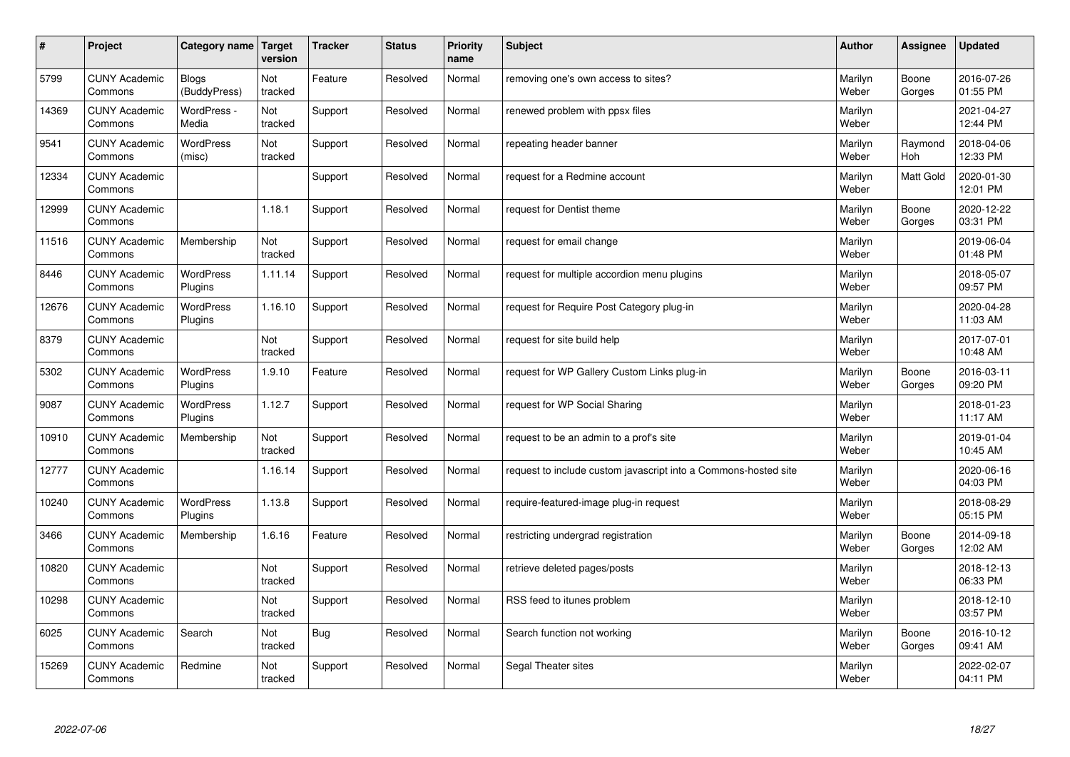| #     | Project                         | Category name   Target       | version        | <b>Tracker</b> | <b>Status</b> | <b>Priority</b><br>name | <b>Subject</b>                                                  | <b>Author</b>    | Assignee              | <b>Updated</b>         |
|-------|---------------------------------|------------------------------|----------------|----------------|---------------|-------------------------|-----------------------------------------------------------------|------------------|-----------------------|------------------------|
| 5799  | <b>CUNY Academic</b><br>Commons | <b>Blogs</b><br>(BuddyPress) | Not<br>tracked | Feature        | Resolved      | Normal                  | removing one's own access to sites?                             | Marilyn<br>Weber | Boone<br>Gorges       | 2016-07-26<br>01:55 PM |
| 14369 | <b>CUNY Academic</b><br>Commons | WordPress -<br>Media         | Not<br>tracked | Support        | Resolved      | Normal                  | renewed problem with ppsx files                                 | Marilyn<br>Weber |                       | 2021-04-27<br>12:44 PM |
| 9541  | <b>CUNY Academic</b><br>Commons | <b>WordPress</b><br>(misc)   | Not<br>tracked | Support        | Resolved      | Normal                  | repeating header banner                                         | Marilyn<br>Weber | Raymond<br><b>Hoh</b> | 2018-04-06<br>12:33 PM |
| 12334 | <b>CUNY Academic</b><br>Commons |                              |                | Support        | Resolved      | Normal                  | request for a Redmine account                                   | Marilyn<br>Weber | <b>Matt Gold</b>      | 2020-01-30<br>12:01 PM |
| 12999 | <b>CUNY Academic</b><br>Commons |                              | 1.18.1         | Support        | Resolved      | Normal                  | request for Dentist theme                                       | Marilyn<br>Weber | Boone<br>Gorges       | 2020-12-22<br>03:31 PM |
| 11516 | <b>CUNY Academic</b><br>Commons | Membership                   | Not<br>tracked | Support        | Resolved      | Normal                  | request for email change                                        | Marilyn<br>Weber |                       | 2019-06-04<br>01:48 PM |
| 8446  | <b>CUNY Academic</b><br>Commons | <b>WordPress</b><br>Plugins  | 1.11.14        | Support        | Resolved      | Normal                  | request for multiple accordion menu plugins                     | Marilyn<br>Weber |                       | 2018-05-07<br>09:57 PM |
| 12676 | <b>CUNY Academic</b><br>Commons | <b>WordPress</b><br>Plugins  | 1.16.10        | Support        | Resolved      | Normal                  | request for Require Post Category plug-in                       | Marilyn<br>Weber |                       | 2020-04-28<br>11:03 AM |
| 8379  | <b>CUNY Academic</b><br>Commons |                              | Not<br>tracked | Support        | Resolved      | Normal                  | request for site build help                                     | Marilyn<br>Weber |                       | 2017-07-01<br>10:48 AM |
| 5302  | <b>CUNY Academic</b><br>Commons | WordPress<br>Plugins         | 1.9.10         | Feature        | Resolved      | Normal                  | request for WP Gallery Custom Links plug-in                     | Marilyn<br>Weber | Boone<br>Gorges       | 2016-03-11<br>09:20 PM |
| 9087  | <b>CUNY Academic</b><br>Commons | WordPress<br>Plugins         | 1.12.7         | Support        | Resolved      | Normal                  | request for WP Social Sharing                                   | Marilyn<br>Weber |                       | 2018-01-23<br>11:17 AM |
| 10910 | <b>CUNY Academic</b><br>Commons | Membership                   | Not<br>tracked | Support        | Resolved      | Normal                  | request to be an admin to a prof's site                         | Marilyn<br>Weber |                       | 2019-01-04<br>10:45 AM |
| 12777 | <b>CUNY Academic</b><br>Commons |                              | 1.16.14        | Support        | Resolved      | Normal                  | request to include custom javascript into a Commons-hosted site | Marilyn<br>Weber |                       | 2020-06-16<br>04:03 PM |
| 10240 | <b>CUNY Academic</b><br>Commons | <b>WordPress</b><br>Plugins  | 1.13.8         | Support        | Resolved      | Normal                  | require-featured-image plug-in request                          | Marilyn<br>Weber |                       | 2018-08-29<br>05:15 PM |
| 3466  | <b>CUNY Academic</b><br>Commons | Membership                   | 1.6.16         | Feature        | Resolved      | Normal                  | restricting undergrad registration                              | Marilyn<br>Weber | Boone<br>Gorges       | 2014-09-18<br>12:02 AM |
| 10820 | <b>CUNY Academic</b><br>Commons |                              | Not<br>tracked | Support        | Resolved      | Normal                  | retrieve deleted pages/posts                                    | Marilyn<br>Weber |                       | 2018-12-13<br>06:33 PM |
| 10298 | <b>CUNY Academic</b><br>Commons |                              | Not<br>tracked | Support        | Resolved      | Normal                  | RSS feed to itunes problem                                      | Marilyn<br>Weber |                       | 2018-12-10<br>03:57 PM |
| 6025  | <b>CUNY Academic</b><br>Commons | Search                       | Not<br>tracked | Bug            | Resolved      | Normal                  | Search function not working                                     | Marilyn<br>Weber | Boone<br>Gorges       | 2016-10-12<br>09:41 AM |
| 15269 | <b>CUNY Academic</b><br>Commons | Redmine                      | Not<br>tracked | Support        | Resolved      | Normal                  | Segal Theater sites                                             | Marilyn<br>Weber |                       | 2022-02-07<br>04:11 PM |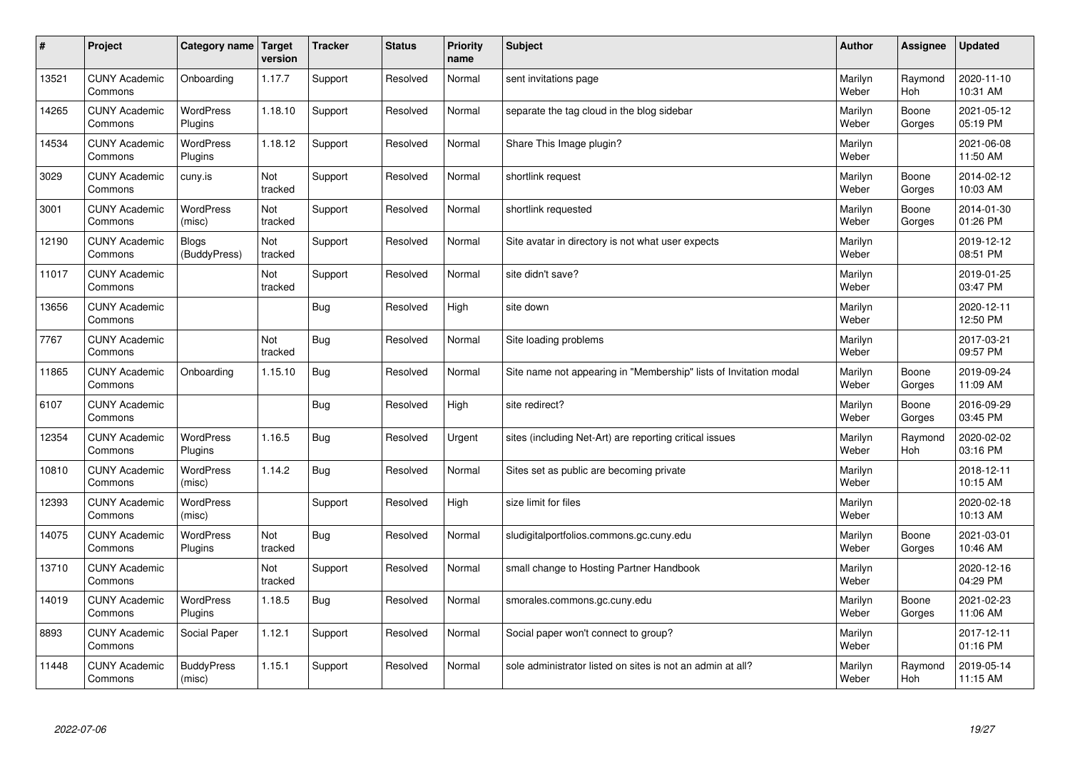| #     | Project                         | Category name   Target      | version        | <b>Tracker</b> | <b>Status</b> | <b>Priority</b><br>name | <b>Subject</b>                                                    | <b>Author</b>    | Assignee        | <b>Updated</b>         |
|-------|---------------------------------|-----------------------------|----------------|----------------|---------------|-------------------------|-------------------------------------------------------------------|------------------|-----------------|------------------------|
| 13521 | <b>CUNY Academic</b><br>Commons | Onboarding                  | 1.17.7         | Support        | Resolved      | Normal                  | sent invitations page                                             | Marilyn<br>Weber | Raymond<br>Hoh  | 2020-11-10<br>10:31 AM |
| 14265 | <b>CUNY Academic</b><br>Commons | <b>WordPress</b><br>Plugins | 1.18.10        | Support        | Resolved      | Normal                  | separate the tag cloud in the blog sidebar                        | Marilyn<br>Weber | Boone<br>Gorges | 2021-05-12<br>05:19 PM |
| 14534 | <b>CUNY Academic</b><br>Commons | <b>WordPress</b><br>Plugins | 1.18.12        | Support        | Resolved      | Normal                  | Share This Image plugin?                                          | Marilyn<br>Weber |                 | 2021-06-08<br>11:50 AM |
| 3029  | <b>CUNY Academic</b><br>Commons | cuny.is                     | Not<br>tracked | Support        | Resolved      | Normal                  | shortlink request                                                 | Marilyn<br>Weber | Boone<br>Gorges | 2014-02-12<br>10:03 AM |
| 3001  | <b>CUNY Academic</b><br>Commons | <b>WordPress</b><br>(misc)  | Not<br>tracked | Support        | Resolved      | Normal                  | shortlink requested                                               | Marilyn<br>Weber | Boone<br>Gorges | 2014-01-30<br>01:26 PM |
| 12190 | <b>CUNY Academic</b><br>Commons | Blogs<br>(BuddyPress)       | Not<br>tracked | Support        | Resolved      | Normal                  | Site avatar in directory is not what user expects                 | Marilyn<br>Weber |                 | 2019-12-12<br>08:51 PM |
| 11017 | <b>CUNY Academic</b><br>Commons |                             | Not<br>tracked | Support        | Resolved      | Normal                  | site didn't save?                                                 | Marilyn<br>Weber |                 | 2019-01-25<br>03:47 PM |
| 13656 | <b>CUNY Academic</b><br>Commons |                             |                | Bug            | Resolved      | High                    | site down                                                         | Marilyn<br>Weber |                 | 2020-12-11<br>12:50 PM |
| 7767  | <b>CUNY Academic</b><br>Commons |                             | Not<br>tracked | Bug            | Resolved      | Normal                  | Site loading problems                                             | Marilyn<br>Weber |                 | 2017-03-21<br>09:57 PM |
| 11865 | <b>CUNY Academic</b><br>Commons | Onboarding                  | 1.15.10        | Bug            | Resolved      | Normal                  | Site name not appearing in "Membership" lists of Invitation modal | Marilyn<br>Weber | Boone<br>Gorges | 2019-09-24<br>11:09 AM |
| 6107  | <b>CUNY Academic</b><br>Commons |                             |                | <b>Bug</b>     | Resolved      | High                    | site redirect?                                                    | Marilyn<br>Weber | Boone<br>Gorges | 2016-09-29<br>03:45 PM |
| 12354 | <b>CUNY Academic</b><br>Commons | <b>WordPress</b><br>Plugins | 1.16.5         | <b>Bug</b>     | Resolved      | Urgent                  | sites (including Net-Art) are reporting critical issues           | Marilyn<br>Weber | Raymond<br>Hoh  | 2020-02-02<br>03:16 PM |
| 10810 | <b>CUNY Academic</b><br>Commons | <b>WordPress</b><br>(misc)  | 1.14.2         | Bug            | Resolved      | Normal                  | Sites set as public are becoming private                          | Marilyn<br>Weber |                 | 2018-12-11<br>10:15 AM |
| 12393 | <b>CUNY Academic</b><br>Commons | <b>WordPress</b><br>(misc)  |                | Support        | Resolved      | High                    | size limit for files                                              | Marilyn<br>Weber |                 | 2020-02-18<br>10:13 AM |
| 14075 | <b>CUNY Academic</b><br>Commons | <b>WordPress</b><br>Plugins | Not<br>tracked | <b>Bug</b>     | Resolved      | Normal                  | sludigitalportfolios.commons.gc.cuny.edu                          | Marilyn<br>Weber | Boone<br>Gorges | 2021-03-01<br>10:46 AM |
| 13710 | <b>CUNY Academic</b><br>Commons |                             | Not<br>tracked | Support        | Resolved      | Normal                  | small change to Hosting Partner Handbook                          | Marilyn<br>Weber |                 | 2020-12-16<br>04:29 PM |
| 14019 | <b>CUNY Academic</b><br>Commons | WordPress<br>Plugins        | 1.18.5         | Bug            | Resolved      | Normal                  | smorales.commons.gc.cuny.edu                                      | Marilyn<br>Weber | Boone<br>Gorges | 2021-02-23<br>11:06 AM |
| 8893  | <b>CUNY Academic</b><br>Commons | Social Paper                | 1.12.1         | Support        | Resolved      | Normal                  | Social paper won't connect to group?                              | Marilyn<br>Weber |                 | 2017-12-11<br>01:16 PM |
| 11448 | <b>CUNY Academic</b><br>Commons | <b>BuddyPress</b><br>(misc) | 1.15.1         | Support        | Resolved      | Normal                  | sole administrator listed on sites is not an admin at all?        | Marilyn<br>Weber | Raymond<br>Hoh  | 2019-05-14<br>11:15 AM |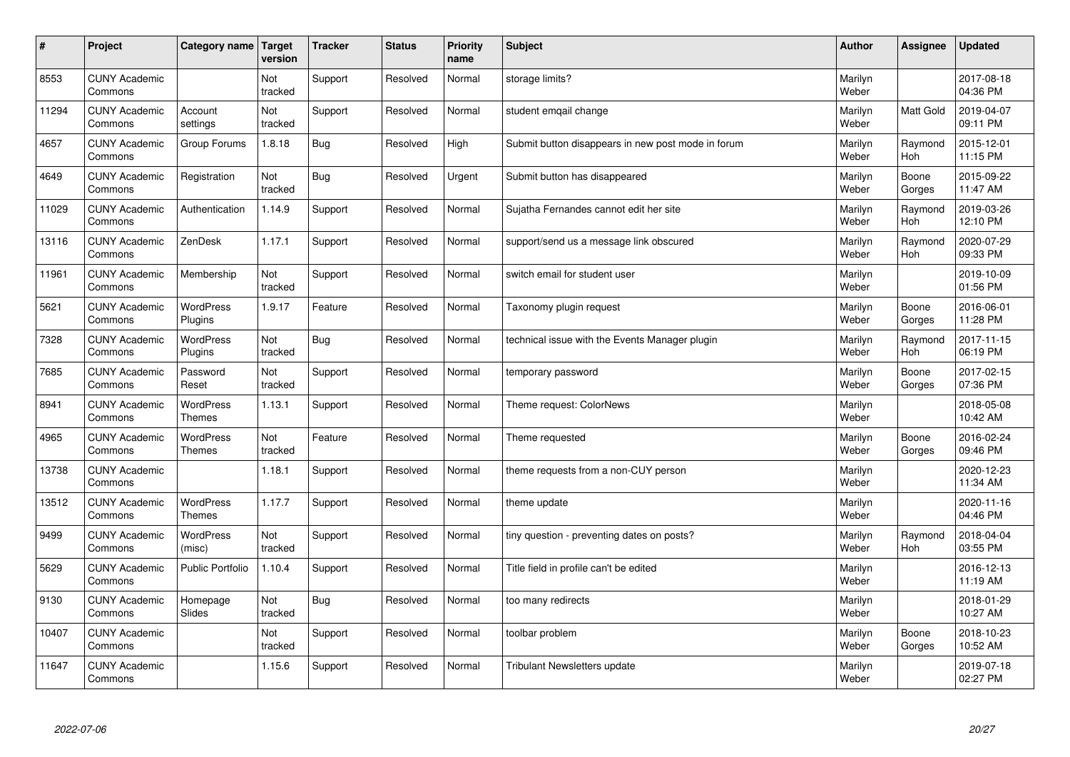| $\sharp$ | Project                         | Category name   Target            | version        | <b>Tracker</b> | <b>Status</b> | <b>Priority</b><br>name | <b>Subject</b>                                     | <b>Author</b>    | Assignee              | <b>Updated</b>         |
|----------|---------------------------------|-----------------------------------|----------------|----------------|---------------|-------------------------|----------------------------------------------------|------------------|-----------------------|------------------------|
| 8553     | <b>CUNY Academic</b><br>Commons |                                   | Not<br>tracked | Support        | Resolved      | Normal                  | storage limits?                                    | Marilyn<br>Weber |                       | 2017-08-18<br>04:36 PM |
| 11294    | <b>CUNY Academic</b><br>Commons | Account<br>settings               | Not<br>tracked | Support        | Resolved      | Normal                  | student emgail change                              | Marilyn<br>Weber | <b>Matt Gold</b>      | 2019-04-07<br>09:11 PM |
| 4657     | <b>CUNY Academic</b><br>Commons | Group Forums                      | 1.8.18         | <b>Bug</b>     | Resolved      | High                    | Submit button disappears in new post mode in forum | Marilyn<br>Weber | Raymond<br>Hoh        | 2015-12-01<br>11:15 PM |
| 4649     | <b>CUNY Academic</b><br>Commons | Registration                      | Not<br>tracked | <b>Bug</b>     | Resolved      | Urgent                  | Submit button has disappeared                      | Marilyn<br>Weber | Boone<br>Gorges       | 2015-09-22<br>11:47 AM |
| 11029    | <b>CUNY Academic</b><br>Commons | Authentication                    | 1.14.9         | Support        | Resolved      | Normal                  | Sujatha Fernandes cannot edit her site             | Marilyn<br>Weber | Raymond<br><b>Hoh</b> | 2019-03-26<br>12:10 PM |
| 13116    | <b>CUNY Academic</b><br>Commons | ZenDesk                           | 1.17.1         | Support        | Resolved      | Normal                  | support/send us a message link obscured            | Marilyn<br>Weber | Raymond<br>Hoh        | 2020-07-29<br>09:33 PM |
| 11961    | <b>CUNY Academic</b><br>Commons | Membership                        | Not<br>tracked | Support        | Resolved      | Normal                  | switch email for student user                      | Marilyn<br>Weber |                       | 2019-10-09<br>01:56 PM |
| 5621     | <b>CUNY Academic</b><br>Commons | WordPress<br>Plugins              | 1.9.17         | Feature        | Resolved      | Normal                  | Taxonomy plugin request                            | Marilyn<br>Weber | Boone<br>Gorges       | 2016-06-01<br>11:28 PM |
| 7328     | <b>CUNY Academic</b><br>Commons | WordPress<br>Plugins              | Not<br>tracked | Bug            | Resolved      | Normal                  | technical issue with the Events Manager plugin     | Marilyn<br>Weber | Raymond<br><b>Hoh</b> | 2017-11-15<br>06:19 PM |
| 7685     | <b>CUNY Academic</b><br>Commons | Password<br>Reset                 | Not<br>tracked | Support        | Resolved      | Normal                  | temporary password                                 | Marilyn<br>Weber | Boone<br>Gorges       | 2017-02-15<br>07:36 PM |
| 8941     | <b>CUNY Academic</b><br>Commons | <b>WordPress</b><br><b>Themes</b> | 1.13.1         | Support        | Resolved      | Normal                  | Theme request: ColorNews                           | Marilyn<br>Weber |                       | 2018-05-08<br>10:42 AM |
| 4965     | <b>CUNY Academic</b><br>Commons | <b>WordPress</b><br><b>Themes</b> | Not<br>tracked | Feature        | Resolved      | Normal                  | Theme requested                                    | Marilyn<br>Weber | Boone<br>Gorges       | 2016-02-24<br>09:46 PM |
| 13738    | <b>CUNY Academic</b><br>Commons |                                   | 1.18.1         | Support        | Resolved      | Normal                  | theme requests from a non-CUY person               | Marilyn<br>Weber |                       | 2020-12-23<br>11:34 AM |
| 13512    | <b>CUNY Academic</b><br>Commons | <b>WordPress</b><br><b>Themes</b> | 1.17.7         | Support        | Resolved      | Normal                  | theme update                                       | Marilyn<br>Weber |                       | 2020-11-16<br>04:46 PM |
| 9499     | <b>CUNY Academic</b><br>Commons | <b>WordPress</b><br>(misc)        | Not<br>tracked | Support        | Resolved      | Normal                  | tiny question - preventing dates on posts?         | Marilyn<br>Weber | Raymond<br>Hoh        | 2018-04-04<br>03:55 PM |
| 5629     | <b>CUNY Academic</b><br>Commons | <b>Public Portfolio</b>           | 1.10.4         | Support        | Resolved      | Normal                  | Title field in profile can't be edited             | Marilyn<br>Weber |                       | 2016-12-13<br>11:19 AM |
| 9130     | <b>CUNY Academic</b><br>Commons | Homepage<br>Slides                | Not<br>tracked | Bug            | Resolved      | Normal                  | too many redirects                                 | Marilyn<br>Weber |                       | 2018-01-29<br>10:27 AM |
| 10407    | <b>CUNY Academic</b><br>Commons |                                   | Not<br>tracked | Support        | Resolved      | Normal                  | toolbar problem                                    | Marilyn<br>Weber | Boone<br>Gorges       | 2018-10-23<br>10:52 AM |
| 11647    | <b>CUNY Academic</b><br>Commons |                                   | 1.15.6         | Support        | Resolved      | Normal                  | <b>Tribulant Newsletters update</b>                | Marilyn<br>Weber |                       | 2019-07-18<br>02:27 PM |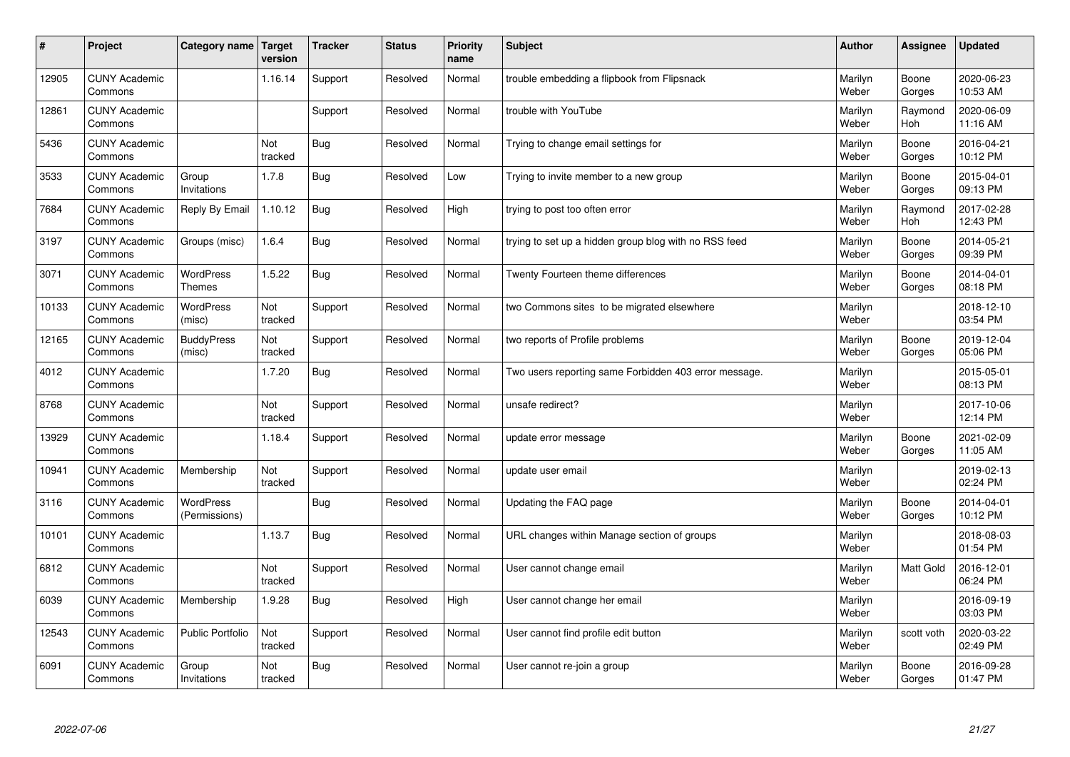| #     | Project                         | Category name   Target            | version        | <b>Tracker</b> | <b>Status</b> | <b>Priority</b><br>name | <b>Subject</b>                                        | <b>Author</b>    | Assignee              | <b>Updated</b>         |
|-------|---------------------------------|-----------------------------------|----------------|----------------|---------------|-------------------------|-------------------------------------------------------|------------------|-----------------------|------------------------|
| 12905 | <b>CUNY Academic</b><br>Commons |                                   | 1.16.14        | Support        | Resolved      | Normal                  | trouble embedding a flipbook from Flipsnack           | Marilyn<br>Weber | Boone<br>Gorges       | 2020-06-23<br>10:53 AM |
| 12861 | <b>CUNY Academic</b><br>Commons |                                   |                | Support        | Resolved      | Normal                  | trouble with YouTube                                  | Marilyn<br>Weber | Raymond<br><b>Hoh</b> | 2020-06-09<br>11:16 AM |
| 5436  | <b>CUNY Academic</b><br>Commons |                                   | Not<br>tracked | Bug            | Resolved      | Normal                  | Trying to change email settings for                   | Marilyn<br>Weber | Boone<br>Gorges       | 2016-04-21<br>10:12 PM |
| 3533  | <b>CUNY Academic</b><br>Commons | Group<br>Invitations              | 1.7.8          | <b>Bug</b>     | Resolved      | Low                     | Trying to invite member to a new group                | Marilyn<br>Weber | Boone<br>Gorges       | 2015-04-01<br>09:13 PM |
| 7684  | <b>CUNY Academic</b><br>Commons | Reply By Email                    | 1.10.12        | <b>Bug</b>     | Resolved      | High                    | trying to post too often error                        | Marilyn<br>Weber | Raymond<br><b>Hoh</b> | 2017-02-28<br>12:43 PM |
| 3197  | <b>CUNY Academic</b><br>Commons | Groups (misc)                     | 1.6.4          | Bug            | Resolved      | Normal                  | trying to set up a hidden group blog with no RSS feed | Marilyn<br>Weber | Boone<br>Gorges       | 2014-05-21<br>09:39 PM |
| 3071  | <b>CUNY Academic</b><br>Commons | <b>WordPress</b><br><b>Themes</b> | 1.5.22         | Bug            | Resolved      | Normal                  | Twenty Fourteen theme differences                     | Marilyn<br>Weber | Boone<br>Gorges       | 2014-04-01<br>08:18 PM |
| 10133 | <b>CUNY Academic</b><br>Commons | <b>WordPress</b><br>(misc)        | Not<br>tracked | Support        | Resolved      | Normal                  | two Commons sites to be migrated elsewhere            | Marilyn<br>Weber |                       | 2018-12-10<br>03:54 PM |
| 12165 | <b>CUNY Academic</b><br>Commons | <b>BuddyPress</b><br>(misc)       | Not<br>tracked | Support        | Resolved      | Normal                  | two reports of Profile problems                       | Marilyn<br>Weber | Boone<br>Gorges       | 2019-12-04<br>05:06 PM |
| 4012  | <b>CUNY Academic</b><br>Commons |                                   | 1.7.20         | Bug            | Resolved      | Normal                  | Two users reporting same Forbidden 403 error message. | Marilyn<br>Weber |                       | 2015-05-01<br>08:13 PM |
| 8768  | <b>CUNY Academic</b><br>Commons |                                   | Not<br>tracked | Support        | Resolved      | Normal                  | unsafe redirect?                                      | Marilyn<br>Weber |                       | 2017-10-06<br>12:14 PM |
| 13929 | <b>CUNY Academic</b><br>Commons |                                   | 1.18.4         | Support        | Resolved      | Normal                  | update error message                                  | Marilyn<br>Weber | Boone<br>Gorges       | 2021-02-09<br>11:05 AM |
| 10941 | <b>CUNY Academic</b><br>Commons | Membership                        | Not<br>tracked | Support        | Resolved      | Normal                  | update user email                                     | Marilyn<br>Weber |                       | 2019-02-13<br>02:24 PM |
| 3116  | <b>CUNY Academic</b><br>Commons | <b>WordPress</b><br>(Permissions) |                | Bug            | Resolved      | Normal                  | Updating the FAQ page                                 | Marilyn<br>Weber | Boone<br>Gorges       | 2014-04-01<br>10:12 PM |
| 10101 | <b>CUNY Academic</b><br>Commons |                                   | 1.13.7         | <b>Bug</b>     | Resolved      | Normal                  | URL changes within Manage section of groups           | Marilyn<br>Weber |                       | 2018-08-03<br>01:54 PM |
| 6812  | <b>CUNY Academic</b><br>Commons |                                   | Not<br>tracked | Support        | Resolved      | Normal                  | User cannot change email                              | Marilyn<br>Weber | <b>Matt Gold</b>      | 2016-12-01<br>06:24 PM |
| 6039  | <b>CUNY Academic</b><br>Commons | Membership                        | 1.9.28         | Bug            | Resolved      | High                    | User cannot change her email                          | Marilyn<br>Weber |                       | 2016-09-19<br>03:03 PM |
| 12543 | <b>CUNY Academic</b><br>Commons | <b>Public Portfolio</b>           | Not<br>tracked | Support        | Resolved      | Normal                  | User cannot find profile edit button                  | Marilyn<br>Weber | scott voth            | 2020-03-22<br>02:49 PM |
| 6091  | <b>CUNY Academic</b><br>Commons | Group<br>Invitations              | Not<br>tracked | Bug            | Resolved      | Normal                  | User cannot re-join a group                           | Marilyn<br>Weber | Boone<br>Gorges       | 2016-09-28<br>01:47 PM |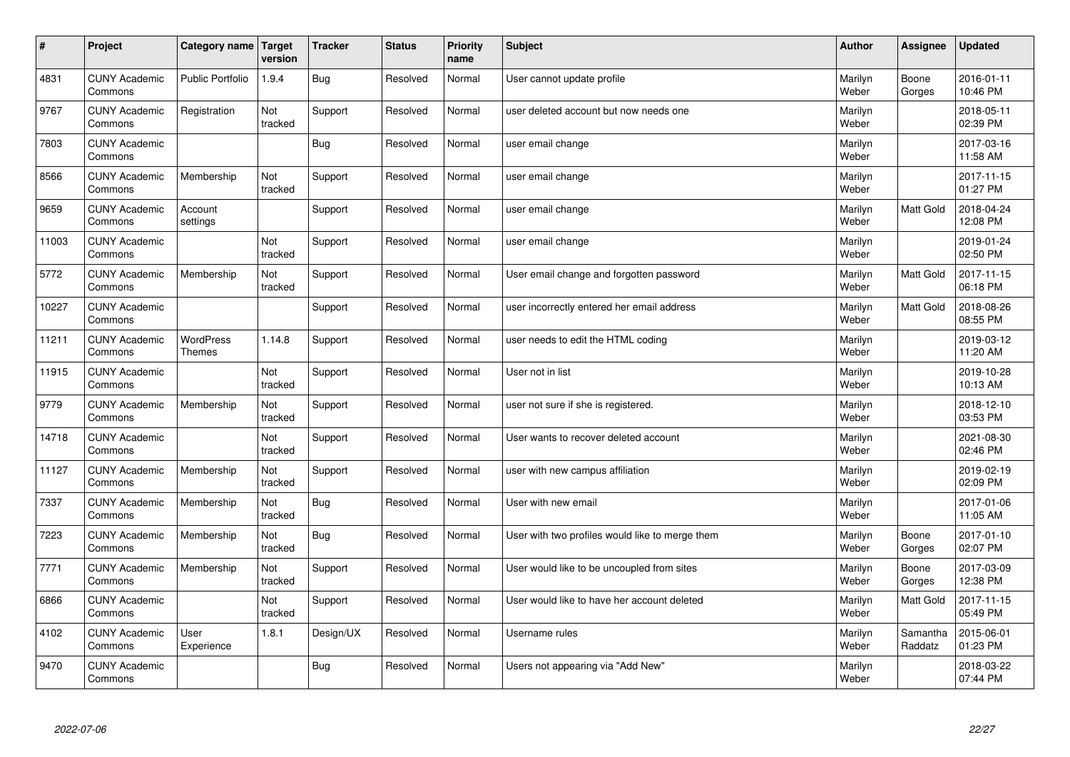| #     | Project                         | Category name Target              | version        | <b>Tracker</b> | <b>Status</b> | <b>Priority</b><br>name | <b>Subject</b>                                  | <b>Author</b>    | Assignee            | <b>Updated</b>         |
|-------|---------------------------------|-----------------------------------|----------------|----------------|---------------|-------------------------|-------------------------------------------------|------------------|---------------------|------------------------|
| 4831  | <b>CUNY Academic</b><br>Commons | <b>Public Portfolio</b>           | 1.9.4          | Bug            | Resolved      | Normal                  | User cannot update profile                      | Marilyn<br>Weber | Boone<br>Gorges     | 2016-01-11<br>10:46 PM |
| 9767  | <b>CUNY Academic</b><br>Commons | Registration                      | Not<br>tracked | Support        | Resolved      | Normal                  | user deleted account but now needs one          | Marilyn<br>Weber |                     | 2018-05-11<br>02:39 PM |
| 7803  | <b>CUNY Academic</b><br>Commons |                                   |                | Bug            | Resolved      | Normal                  | user email change                               | Marilyn<br>Weber |                     | 2017-03-16<br>11:58 AM |
| 8566  | <b>CUNY Academic</b><br>Commons | Membership                        | Not<br>tracked | Support        | Resolved      | Normal                  | user email change                               | Marilyn<br>Weber |                     | 2017-11-15<br>01:27 PM |
| 9659  | <b>CUNY Academic</b><br>Commons | Account<br>settings               |                | Support        | Resolved      | Normal                  | user email change                               | Marilyn<br>Weber | Matt Gold           | 2018-04-24<br>12:08 PM |
| 11003 | <b>CUNY Academic</b><br>Commons |                                   | Not<br>tracked | Support        | Resolved      | Normal                  | user email change                               | Marilyn<br>Weber |                     | 2019-01-24<br>02:50 PM |
| 5772  | <b>CUNY Academic</b><br>Commons | Membership                        | Not<br>tracked | Support        | Resolved      | Normal                  | User email change and forgotten password        | Marilyn<br>Weber | Matt Gold           | 2017-11-15<br>06:18 PM |
| 10227 | <b>CUNY Academic</b><br>Commons |                                   |                | Support        | Resolved      | Normal                  | user incorrectly entered her email address      | Marilyn<br>Weber | Matt Gold           | 2018-08-26<br>08:55 PM |
| 11211 | <b>CUNY Academic</b><br>Commons | <b>WordPress</b><br><b>Themes</b> | 1.14.8         | Support        | Resolved      | Normal                  | user needs to edit the HTML coding              | Marilyn<br>Weber |                     | 2019-03-12<br>11:20 AM |
| 11915 | <b>CUNY Academic</b><br>Commons |                                   | Not<br>tracked | Support        | Resolved      | Normal                  | User not in list                                | Marilyn<br>Weber |                     | 2019-10-28<br>10:13 AM |
| 9779  | <b>CUNY Academic</b><br>Commons | Membership                        | Not<br>tracked | Support        | Resolved      | Normal                  | user not sure if she is registered.             | Marilyn<br>Weber |                     | 2018-12-10<br>03:53 PM |
| 14718 | <b>CUNY Academic</b><br>Commons |                                   | Not<br>tracked | Support        | Resolved      | Normal                  | User wants to recover deleted account           | Marilyn<br>Weber |                     | 2021-08-30<br>02:46 PM |
| 11127 | <b>CUNY Academic</b><br>Commons | Membership                        | Not<br>tracked | Support        | Resolved      | Normal                  | user with new campus affiliation                | Marilyn<br>Weber |                     | 2019-02-19<br>02:09 PM |
| 7337  | <b>CUNY Academic</b><br>Commons | Membership                        | Not<br>tracked | Bug            | Resolved      | Normal                  | User with new email                             | Marilyn<br>Weber |                     | 2017-01-06<br>11:05 AM |
| 7223  | <b>CUNY Academic</b><br>Commons | Membership                        | Not<br>tracked | <b>Bug</b>     | Resolved      | Normal                  | User with two profiles would like to merge them | Marilyn<br>Weber | Boone<br>Gorges     | 2017-01-10<br>02:07 PM |
| 7771  | <b>CUNY Academic</b><br>Commons | Membership                        | Not<br>tracked | Support        | Resolved      | Normal                  | User would like to be uncoupled from sites      | Marilyn<br>Weber | Boone<br>Gorges     | 2017-03-09<br>12:38 PM |
| 6866  | <b>CUNY Academic</b><br>Commons |                                   | Not<br>tracked | Support        | Resolved      | Normal                  | User would like to have her account deleted     | Marilyn<br>Weber | Matt Gold           | 2017-11-15<br>05:49 PM |
| 4102  | <b>CUNY Academic</b><br>Commons | User<br>Experience                | 1.8.1          | Design/UX      | Resolved      | Normal                  | Username rules                                  | Marilyn<br>Weber | Samantha<br>Raddatz | 2015-06-01<br>01:23 PM |
| 9470  | <b>CUNY Academic</b><br>Commons |                                   |                | <b>Bug</b>     | Resolved      | Normal                  | Users not appearing via "Add New"               | Marilyn<br>Weber |                     | 2018-03-22<br>07:44 PM |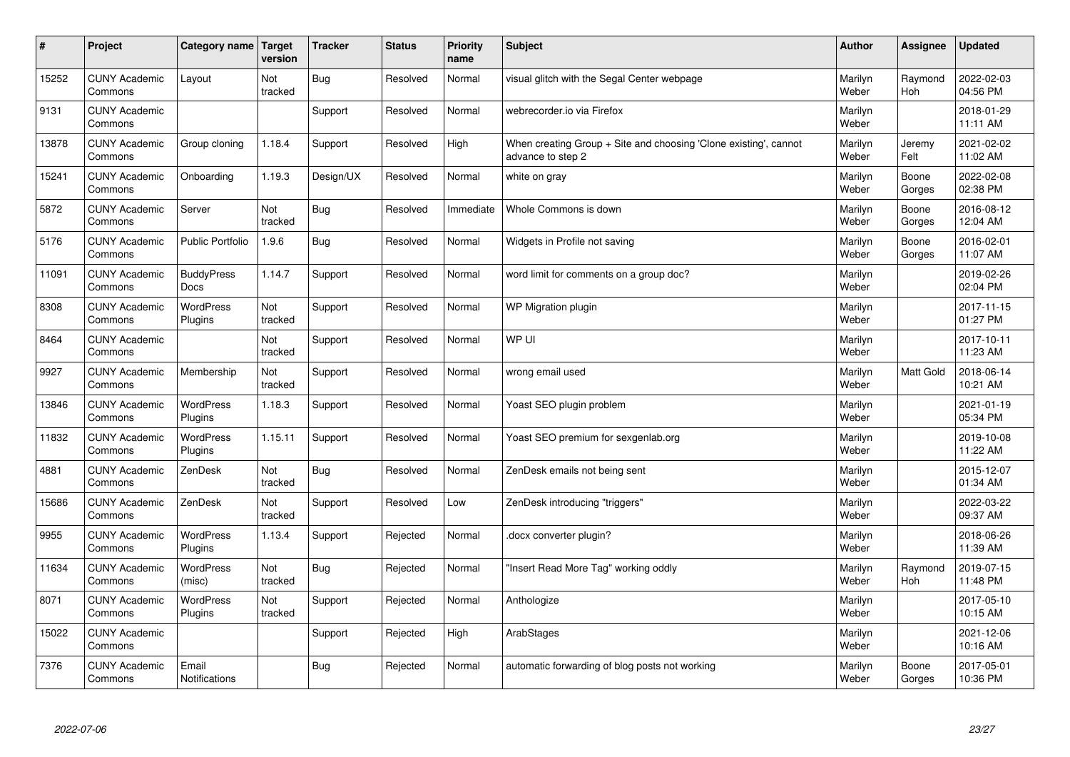| $\sharp$ | Project                         | Category name   Target           | version        | <b>Tracker</b> | <b>Status</b> | <b>Priority</b><br>name | <b>Subject</b>                                                                        | <b>Author</b>    | Assignee              | <b>Updated</b>         |
|----------|---------------------------------|----------------------------------|----------------|----------------|---------------|-------------------------|---------------------------------------------------------------------------------------|------------------|-----------------------|------------------------|
| 15252    | <b>CUNY Academic</b><br>Commons | Layout                           | Not<br>tracked | Bug            | Resolved      | Normal                  | visual glitch with the Segal Center webpage                                           | Marilyn<br>Weber | Raymond<br><b>Hoh</b> | 2022-02-03<br>04:56 PM |
| 9131     | <b>CUNY Academic</b><br>Commons |                                  |                | Support        | Resolved      | Normal                  | webrecorder.io via Firefox                                                            | Marilyn<br>Weber |                       | 2018-01-29<br>11:11 AM |
| 13878    | <b>CUNY Academic</b><br>Commons | Group cloning                    | 1.18.4         | Support        | Resolved      | High                    | When creating Group + Site and choosing 'Clone existing', cannot<br>advance to step 2 | Marilyn<br>Weber | Jeremy<br>Felt        | 2021-02-02<br>11:02 AM |
| 15241    | <b>CUNY Academic</b><br>Commons | Onboarding                       | 1.19.3         | Design/UX      | Resolved      | Normal                  | white on gray                                                                         | Marilyn<br>Weber | Boone<br>Gorges       | 2022-02-08<br>02:38 PM |
| 5872     | <b>CUNY Academic</b><br>Commons | Server                           | Not<br>tracked | <b>Bug</b>     | Resolved      | Immediate               | Whole Commons is down                                                                 | Marilyn<br>Weber | Boone<br>Gorges       | 2016-08-12<br>12:04 AM |
| 5176     | <b>CUNY Academic</b><br>Commons | Public Portfolio                 | 1.9.6          | Bug            | Resolved      | Normal                  | Widgets in Profile not saving                                                         | Marilyn<br>Weber | Boone<br>Gorges       | 2016-02-01<br>11:07 AM |
| 11091    | <b>CUNY Academic</b><br>Commons | <b>BuddyPress</b><br><b>Docs</b> | 1.14.7         | Support        | Resolved      | Normal                  | word limit for comments on a group doc?                                               | Marilyn<br>Weber |                       | 2019-02-26<br>02:04 PM |
| 8308     | <b>CUNY Academic</b><br>Commons | WordPress<br>Plugins             | Not<br>tracked | Support        | Resolved      | Normal                  | WP Migration plugin                                                                   | Marilyn<br>Weber |                       | 2017-11-15<br>01:27 PM |
| 8464     | <b>CUNY Academic</b><br>Commons |                                  | Not<br>tracked | Support        | Resolved      | Normal                  | WP UI                                                                                 | Marilyn<br>Weber |                       | 2017-10-11<br>11:23 AM |
| 9927     | <b>CUNY Academic</b><br>Commons | Membership                       | Not<br>tracked | Support        | Resolved      | Normal                  | wrong email used                                                                      | Marilyn<br>Weber | Matt Gold             | 2018-06-14<br>10:21 AM |
| 13846    | <b>CUNY Academic</b><br>Commons | <b>WordPress</b><br>Plugins      | 1.18.3         | Support        | Resolved      | Normal                  | Yoast SEO plugin problem                                                              | Marilyn<br>Weber |                       | 2021-01-19<br>05:34 PM |
| 11832    | <b>CUNY Academic</b><br>Commons | <b>WordPress</b><br>Plugins      | 1.15.11        | Support        | Resolved      | Normal                  | Yoast SEO premium for sexgenlab.org                                                   | Marilyn<br>Weber |                       | 2019-10-08<br>11:22 AM |
| 4881     | <b>CUNY Academic</b><br>Commons | ZenDesk                          | Not<br>tracked | <b>Bug</b>     | Resolved      | Normal                  | ZenDesk emails not being sent                                                         | Marilyn<br>Weber |                       | 2015-12-07<br>01:34 AM |
| 15686    | <b>CUNY Academic</b><br>Commons | ZenDesk                          | Not<br>tracked | Support        | Resolved      | Low                     | ZenDesk introducing "triggers"                                                        | Marilyn<br>Weber |                       | 2022-03-22<br>09:37 AM |
| 9955     | <b>CUNY Academic</b><br>Commons | WordPress<br>Plugins             | 1.13.4         | Support        | Rejected      | Normal                  | docx converter plugin?                                                                | Marilyn<br>Weber |                       | 2018-06-26<br>11:39 AM |
| 11634    | <b>CUNY Academic</b><br>Commons | WordPress<br>(misc)              | Not<br>tracked | <b>Bug</b>     | Rejected      | Normal                  | 'Insert Read More Tag" working oddly                                                  | Marilyn<br>Weber | Raymond<br>Hoh        | 2019-07-15<br>11:48 PM |
| 8071     | <b>CUNY Academic</b><br>Commons | WordPress<br>Plugins             | Not<br>tracked | Support        | Rejected      | Normal                  | Anthologize                                                                           | Marilyn<br>Weber |                       | 2017-05-10<br>10:15 AM |
| 15022    | <b>CUNY Academic</b><br>Commons |                                  |                | Support        | Rejected      | High                    | ArabStages                                                                            | Marilyn<br>Weber |                       | 2021-12-06<br>10:16 AM |
| 7376     | <b>CUNY Academic</b><br>Commons | Email<br>Notifications           |                | <b>Bug</b>     | Rejected      | Normal                  | automatic forwarding of blog posts not working                                        | Marilyn<br>Weber | Boone<br>Gorges       | 2017-05-01<br>10:36 PM |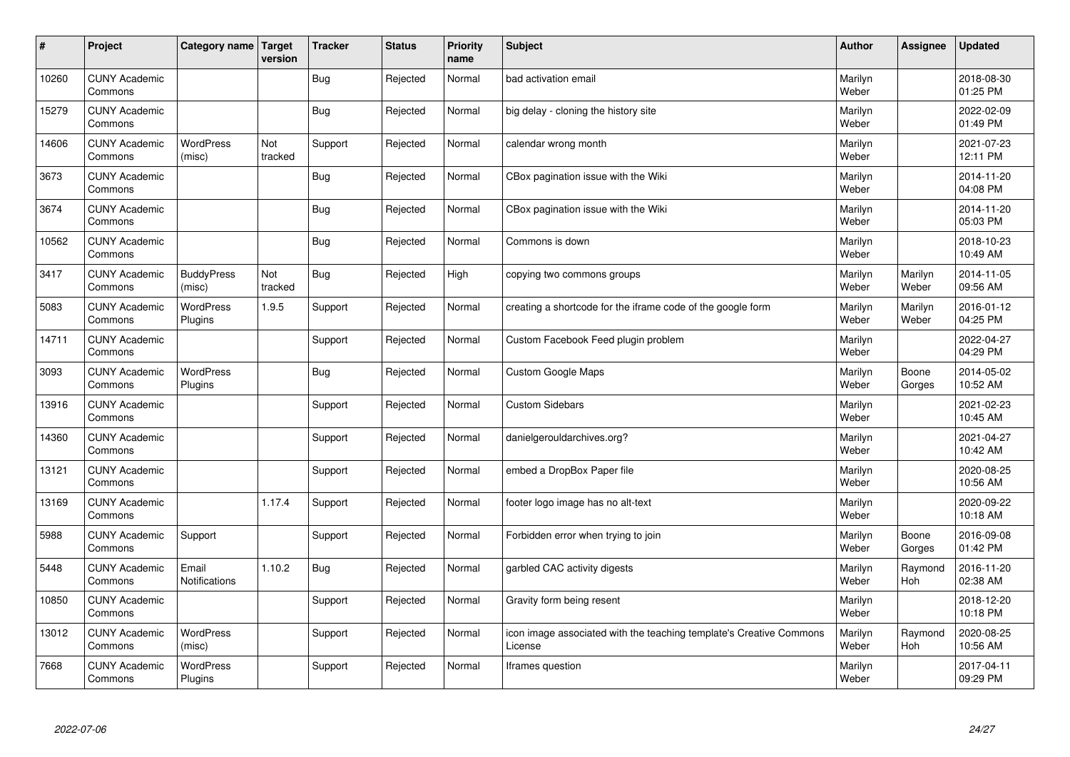| #     | Project                         | Category name   Target        | version        | <b>Tracker</b> | <b>Status</b> | <b>Priority</b><br>name | <b>Subject</b>                                                                 | <b>Author</b>    | Assignee              | <b>Updated</b>         |
|-------|---------------------------------|-------------------------------|----------------|----------------|---------------|-------------------------|--------------------------------------------------------------------------------|------------------|-----------------------|------------------------|
| 10260 | <b>CUNY Academic</b><br>Commons |                               |                | <b>Bug</b>     | Rejected      | Normal                  | bad activation email                                                           | Marilyn<br>Weber |                       | 2018-08-30<br>01:25 PM |
| 15279 | <b>CUNY Academic</b><br>Commons |                               |                | <b>Bug</b>     | Rejected      | Normal                  | big delay - cloning the history site                                           | Marilyn<br>Weber |                       | 2022-02-09<br>01:49 PM |
| 14606 | <b>CUNY Academic</b><br>Commons | <b>WordPress</b><br>(misc)    | Not<br>tracked | Support        | Rejected      | Normal                  | calendar wrong month                                                           | Marilyn<br>Weber |                       | 2021-07-23<br>12:11 PM |
| 3673  | <b>CUNY Academic</b><br>Commons |                               |                | <b>Bug</b>     | Rejected      | Normal                  | CBox pagination issue with the Wiki                                            | Marilyn<br>Weber |                       | 2014-11-20<br>04:08 PM |
| 3674  | <b>CUNY Academic</b><br>Commons |                               |                | Bug            | Rejected      | Normal                  | CBox pagination issue with the Wiki                                            | Marilyn<br>Weber |                       | 2014-11-20<br>05:03 PM |
| 10562 | <b>CUNY Academic</b><br>Commons |                               |                | Bug            | Rejected      | Normal                  | Commons is down                                                                | Marilyn<br>Weber |                       | 2018-10-23<br>10:49 AM |
| 3417  | <b>CUNY Academic</b><br>Commons | <b>BuddyPress</b><br>(misc)   | Not<br>tracked | <b>Bug</b>     | Rejected      | High                    | copying two commons groups                                                     | Marilyn<br>Weber | Marilyn<br>Weber      | 2014-11-05<br>09:56 AM |
| 5083  | <b>CUNY Academic</b><br>Commons | WordPress<br>Plugins          | 1.9.5          | Support        | Rejected      | Normal                  | creating a shortcode for the iframe code of the google form                    | Marilyn<br>Weber | Marilyn<br>Weber      | 2016-01-12<br>04:25 PM |
| 14711 | <b>CUNY Academic</b><br>Commons |                               |                | Support        | Rejected      | Normal                  | Custom Facebook Feed plugin problem                                            | Marilyn<br>Weber |                       | 2022-04-27<br>04:29 PM |
| 3093  | <b>CUNY Academic</b><br>Commons | WordPress<br>Plugins          |                | <b>Bug</b>     | Rejected      | Normal                  | <b>Custom Google Maps</b>                                                      | Marilyn<br>Weber | Boone<br>Gorges       | 2014-05-02<br>10:52 AM |
| 13916 | <b>CUNY Academic</b><br>Commons |                               |                | Support        | Rejected      | Normal                  | <b>Custom Sidebars</b>                                                         | Marilyn<br>Weber |                       | 2021-02-23<br>10:45 AM |
| 14360 | <b>CUNY Academic</b><br>Commons |                               |                | Support        | Rejected      | Normal                  | danielgerouldarchives.org?                                                     | Marilyn<br>Weber |                       | 2021-04-27<br>10:42 AM |
| 13121 | <b>CUNY Academic</b><br>Commons |                               |                | Support        | Rejected      | Normal                  | embed a DropBox Paper file                                                     | Marilyn<br>Weber |                       | 2020-08-25<br>10:56 AM |
| 13169 | <b>CUNY Academic</b><br>Commons |                               | 1.17.4         | Support        | Rejected      | Normal                  | footer logo image has no alt-text                                              | Marilyn<br>Weber |                       | 2020-09-22<br>10:18 AM |
| 5988  | <b>CUNY Academic</b><br>Commons | Support                       |                | Support        | Rejected      | Normal                  | Forbidden error when trying to join                                            | Marilyn<br>Weber | Boone<br>Gorges       | 2016-09-08<br>01:42 PM |
| 5448  | <b>CUNY Academic</b><br>Commons | Email<br><b>Notifications</b> | 1.10.2         | <b>Bug</b>     | Rejected      | Normal                  | garbled CAC activity digests                                                   | Marilyn<br>Weber | Raymond<br><b>Hoh</b> | 2016-11-20<br>02:38 AM |
| 10850 | <b>CUNY Academic</b><br>Commons |                               |                | Support        | Rejected      | Normal                  | Gravity form being resent                                                      | Marilyn<br>Weber |                       | 2018-12-20<br>10:18 PM |
| 13012 | <b>CUNY Academic</b><br>Commons | <b>WordPress</b><br>(misc)    |                | Support        | Rejected      | Normal                  | icon image associated with the teaching template's Creative Commons<br>License | Marilyn<br>Weber | Raymond<br><b>Hoh</b> | 2020-08-25<br>10:56 AM |
| 7668  | <b>CUNY Academic</b><br>Commons | <b>WordPress</b><br>Plugins   |                | Support        | Rejected      | Normal                  | Iframes question                                                               | Marilyn<br>Weber |                       | 2017-04-11<br>09:29 PM |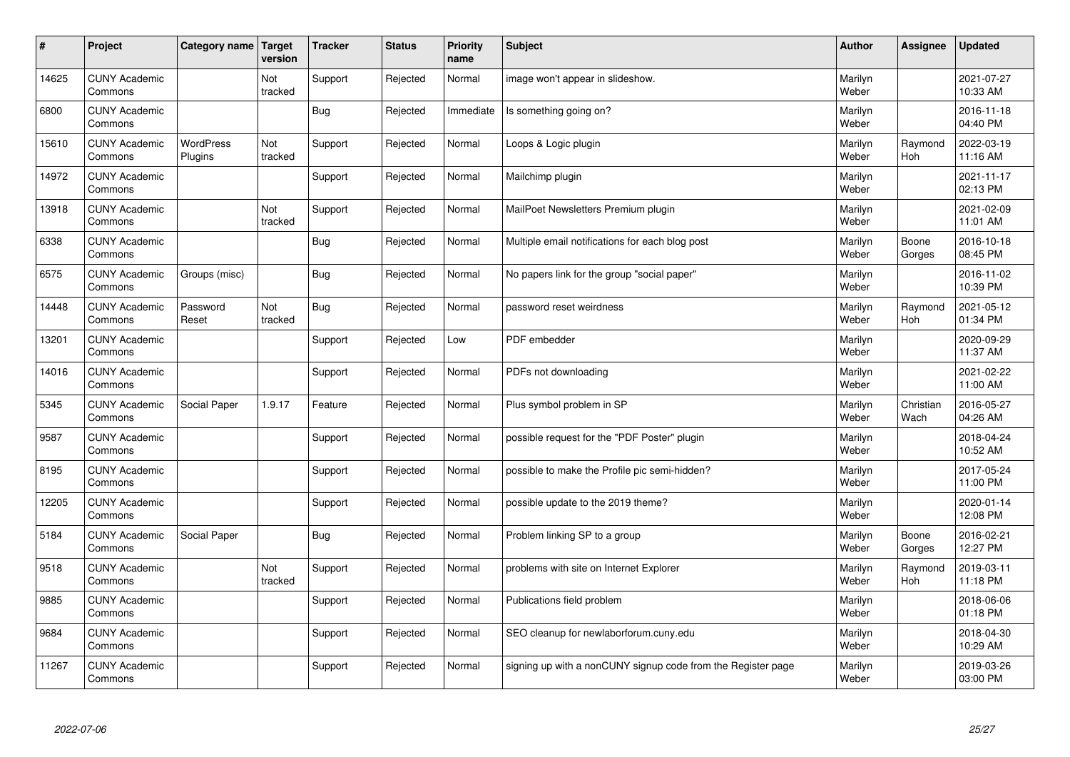| $\sharp$ | Project                         | Category name   Target      | version        | <b>Tracker</b> | <b>Status</b> | <b>Priority</b><br>name | <b>Subject</b>                                               | <b>Author</b>    | <b>Assignee</b>   | <b>Updated</b>         |
|----------|---------------------------------|-----------------------------|----------------|----------------|---------------|-------------------------|--------------------------------------------------------------|------------------|-------------------|------------------------|
| 14625    | <b>CUNY Academic</b><br>Commons |                             | Not<br>tracked | Support        | Rejected      | Normal                  | image won't appear in slideshow.                             | Marilyn<br>Weber |                   | 2021-07-27<br>10:33 AM |
| 6800     | <b>CUNY Academic</b><br>Commons |                             |                | Bug            | Rejected      | Immediate               | Is something going on?                                       | Marilyn<br>Weber |                   | 2016-11-18<br>04:40 PM |
| 15610    | <b>CUNY Academic</b><br>Commons | <b>WordPress</b><br>Plugins | Not<br>tracked | Support        | Rejected      | Normal                  | Loops & Logic plugin                                         | Marilyn<br>Weber | Raymond<br>Hoh    | 2022-03-19<br>11:16 AM |
| 14972    | <b>CUNY Academic</b><br>Commons |                             |                | Support        | Rejected      | Normal                  | Mailchimp plugin                                             | Marilyn<br>Weber |                   | 2021-11-17<br>02:13 PM |
| 13918    | <b>CUNY Academic</b><br>Commons |                             | Not<br>tracked | Support        | Rejected      | Normal                  | MailPoet Newsletters Premium plugin                          | Marilyn<br>Weber |                   | 2021-02-09<br>11:01 AM |
| 6338     | <b>CUNY Academic</b><br>Commons |                             |                | Bug            | Rejected      | Normal                  | Multiple email notifications for each blog post              | Marilyn<br>Weber | Boone<br>Gorges   | 2016-10-18<br>08:45 PM |
| 6575     | <b>CUNY Academic</b><br>Commons | Groups (misc)               |                | Bug            | Rejected      | Normal                  | No papers link for the group "social paper"                  | Marilyn<br>Weber |                   | 2016-11-02<br>10:39 PM |
| 14448    | <b>CUNY Academic</b><br>Commons | Password<br>Reset           | Not<br>tracked | Bug            | Rejected      | Normal                  | password reset weirdness                                     | Marilyn<br>Weber | Raymond<br>Hoh    | 2021-05-12<br>01:34 PM |
| 13201    | <b>CUNY Academic</b><br>Commons |                             |                | Support        | Rejected      | Low                     | PDF embedder                                                 | Marilyn<br>Weber |                   | 2020-09-29<br>11:37 AM |
| 14016    | <b>CUNY Academic</b><br>Commons |                             |                | Support        | Rejected      | Normal                  | PDFs not downloading                                         | Marilyn<br>Weber |                   | 2021-02-22<br>11:00 AM |
| 5345     | <b>CUNY Academic</b><br>Commons | Social Paper                | 1.9.17         | Feature        | Rejected      | Normal                  | Plus symbol problem in SP                                    | Marilyn<br>Weber | Christian<br>Wach | 2016-05-27<br>04:26 AM |
| 9587     | <b>CUNY Academic</b><br>Commons |                             |                | Support        | Rejected      | Normal                  | possible request for the "PDF Poster" plugin                 | Marilyn<br>Weber |                   | 2018-04-24<br>10:52 AM |
| 8195     | <b>CUNY Academic</b><br>Commons |                             |                | Support        | Rejected      | Normal                  | possible to make the Profile pic semi-hidden?                | Marilyn<br>Weber |                   | 2017-05-24<br>11:00 PM |
| 12205    | <b>CUNY Academic</b><br>Commons |                             |                | Support        | Rejected      | Normal                  | possible update to the 2019 theme?                           | Marilyn<br>Weber |                   | 2020-01-14<br>12:08 PM |
| 5184     | <b>CUNY Academic</b><br>Commons | Social Paper                |                | Bug            | Rejected      | Normal                  | Problem linking SP to a group                                | Marilyn<br>Weber | Boone<br>Gorges   | 2016-02-21<br>12:27 PM |
| 9518     | <b>CUNY Academic</b><br>Commons |                             | Not<br>tracked | Support        | Rejected      | Normal                  | problems with site on Internet Explorer                      | Marilyn<br>Weber | Raymond<br>Hoh    | 2019-03-11<br>11:18 PM |
| 9885     | <b>CUNY Academic</b><br>Commons |                             |                | Support        | Rejected      | Normal                  | Publications field problem                                   | Marilyn<br>Weber |                   | 2018-06-06<br>01:18 PM |
| 9684     | <b>CUNY Academic</b><br>Commons |                             |                | Support        | Rejected      | Normal                  | SEO cleanup for newlaborforum.cuny.edu                       | Marilyn<br>Weber |                   | 2018-04-30<br>10:29 AM |
| 11267    | <b>CUNY Academic</b><br>Commons |                             |                | Support        | Rejected      | Normal                  | signing up with a nonCUNY signup code from the Register page | Marilyn<br>Weber |                   | 2019-03-26<br>03:00 PM |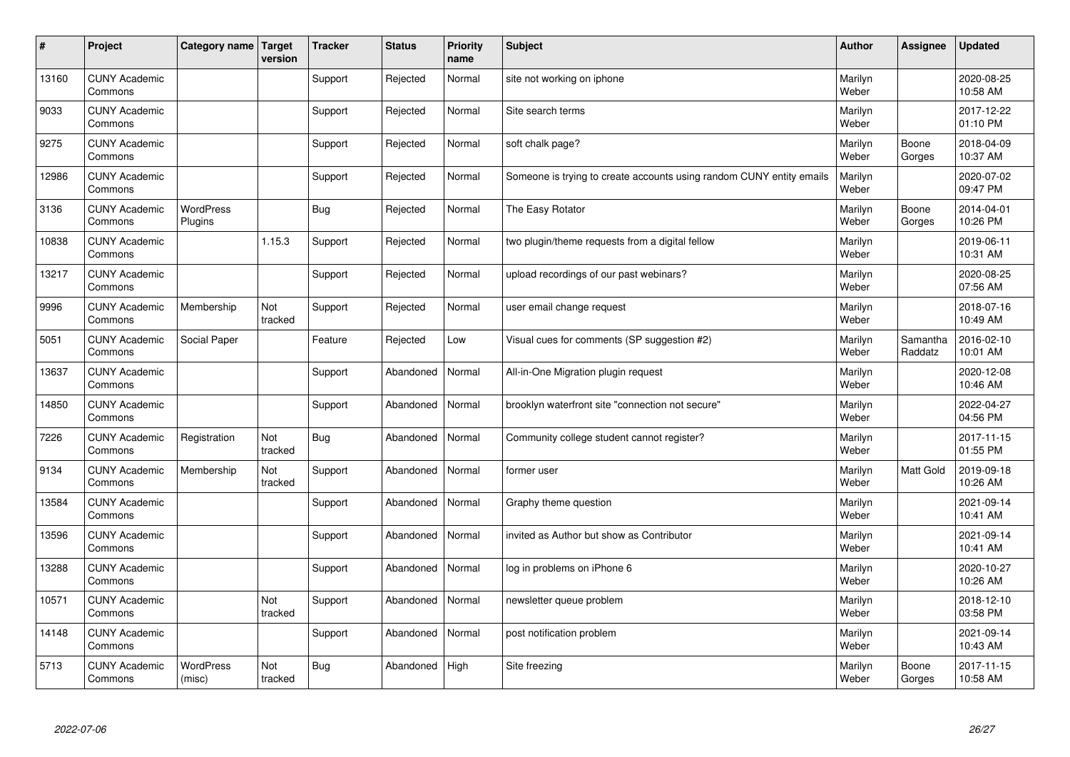| #     | Project                         | Category name   Target      | version        | <b>Tracker</b> | <b>Status</b> | <b>Priority</b><br>name | <b>Subject</b>                                                       | <b>Author</b>    | Assignee            | <b>Updated</b>         |
|-------|---------------------------------|-----------------------------|----------------|----------------|---------------|-------------------------|----------------------------------------------------------------------|------------------|---------------------|------------------------|
| 13160 | <b>CUNY Academic</b><br>Commons |                             |                | Support        | Rejected      | Normal                  | site not working on iphone                                           | Marilyn<br>Weber |                     | 2020-08-25<br>10:58 AM |
| 9033  | <b>CUNY Academic</b><br>Commons |                             |                | Support        | Rejected      | Normal                  | Site search terms                                                    | Marilyn<br>Weber |                     | 2017-12-22<br>01:10 PM |
| 9275  | <b>CUNY Academic</b><br>Commons |                             |                | Support        | Rejected      | Normal                  | soft chalk page?                                                     | Marilyn<br>Weber | Boone<br>Gorges     | 2018-04-09<br>10:37 AM |
| 12986 | <b>CUNY Academic</b><br>Commons |                             |                | Support        | Rejected      | Normal                  | Someone is trying to create accounts using random CUNY entity emails | Marilyn<br>Weber |                     | 2020-07-02<br>09:47 PM |
| 3136  | <b>CUNY Academic</b><br>Commons | <b>WordPress</b><br>Plugins |                | <b>Bug</b>     | Rejected      | Normal                  | The Easy Rotator                                                     | Marilyn<br>Weber | Boone<br>Gorges     | 2014-04-01<br>10:26 PM |
| 10838 | <b>CUNY Academic</b><br>Commons |                             | 1.15.3         | Support        | Rejected      | Normal                  | two plugin/theme requests from a digital fellow                      | Marilyn<br>Weber |                     | 2019-06-11<br>10:31 AM |
| 13217 | <b>CUNY Academic</b><br>Commons |                             |                | Support        | Rejected      | Normal                  | upload recordings of our past webinars?                              | Marilyn<br>Weber |                     | 2020-08-25<br>07:56 AM |
| 9996  | <b>CUNY Academic</b><br>Commons | Membership                  | Not<br>tracked | Support        | Rejected      | Normal                  | user email change request                                            | Marilyn<br>Weber |                     | 2018-07-16<br>10:49 AM |
| 5051  | <b>CUNY Academic</b><br>Commons | Social Paper                |                | Feature        | Rejected      | Low                     | Visual cues for comments (SP suggestion #2)                          | Marilyn<br>Weber | Samantha<br>Raddatz | 2016-02-10<br>10:01 AM |
| 13637 | <b>CUNY Academic</b><br>Commons |                             |                | Support        | Abandoned     | Normal                  | All-in-One Migration plugin request                                  | Marilyn<br>Weber |                     | 2020-12-08<br>10:46 AM |
| 14850 | <b>CUNY Academic</b><br>Commons |                             |                | Support        | Abandoned     | Normal                  | brooklyn waterfront site "connection not secure"                     | Marilyn<br>Weber |                     | 2022-04-27<br>04:56 PM |
| 7226  | <b>CUNY Academic</b><br>Commons | Registration                | Not<br>tracked | <b>Bug</b>     | Abandoned     | Normal                  | Community college student cannot register?                           | Marilyn<br>Weber |                     | 2017-11-15<br>01:55 PM |
| 9134  | <b>CUNY Academic</b><br>Commons | Membership                  | Not<br>tracked | Support        | Abandoned     | Normal                  | former user                                                          | Marilyn<br>Weber | <b>Matt Gold</b>    | 2019-09-18<br>10:26 AM |
| 13584 | <b>CUNY Academic</b><br>Commons |                             |                | Support        | Abandoned     | Normal                  | Graphy theme question                                                | Marilyn<br>Weber |                     | 2021-09-14<br>10:41 AM |
| 13596 | <b>CUNY Academic</b><br>Commons |                             |                | Support        | Abandoned     | Normal                  | invited as Author but show as Contributor                            | Marilyn<br>Weber |                     | 2021-09-14<br>10:41 AM |
| 13288 | <b>CUNY Academic</b><br>Commons |                             |                | Support        | Abandoned     | Normal                  | log in problems on iPhone 6                                          | Marilyn<br>Weber |                     | 2020-10-27<br>10:26 AM |
| 10571 | <b>CUNY Academic</b><br>Commons |                             | Not<br>tracked | Support        | Abandoned     | Normal                  | newsletter queue problem                                             | Marilyn<br>Weber |                     | 2018-12-10<br>03:58 PM |
| 14148 | <b>CUNY Academic</b><br>Commons |                             |                | Support        | Abandoned     | Normal                  | post notification problem                                            | Marilyn<br>Weber |                     | 2021-09-14<br>10:43 AM |
| 5713  | <b>CUNY Academic</b><br>Commons | <b>WordPress</b><br>(misc)  | Not<br>tracked | Bug            | Abandoned     | High                    | Site freezing                                                        | Marilyn<br>Weber | Boone<br>Gorges     | 2017-11-15<br>10:58 AM |